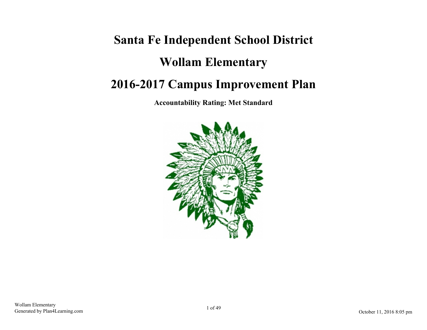# **Santa Fe Independent School District Wollam Elementary 2016-2017 Campus Improvement Plan**

**Accountability Rating: Met Standard**

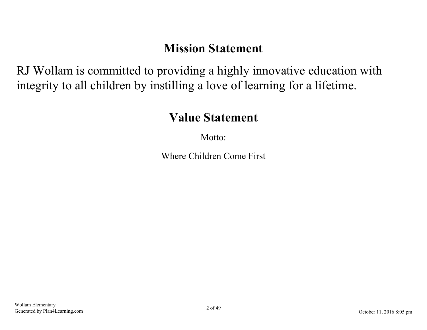## **Mission Statement**

RJ Wollam is committed to providing a highly innovative education with integrity to all children by instilling a love of learning for a lifetime.

## **Value Statement**

Motto<sup>.</sup>

Where Children Come First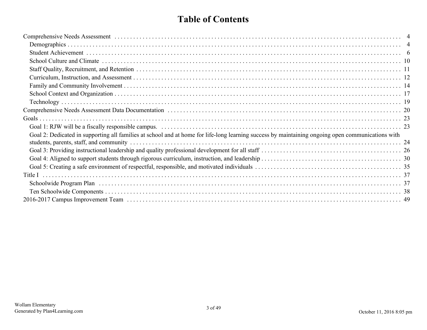## **Table of Contents**

| Goal 2: Dedicated in supporting all families at school and at home for life-long learning success by maintaining ongoing open communications with |  |
|---------------------------------------------------------------------------------------------------------------------------------------------------|--|
|                                                                                                                                                   |  |
|                                                                                                                                                   |  |
|                                                                                                                                                   |  |
|                                                                                                                                                   |  |
|                                                                                                                                                   |  |
|                                                                                                                                                   |  |
|                                                                                                                                                   |  |
|                                                                                                                                                   |  |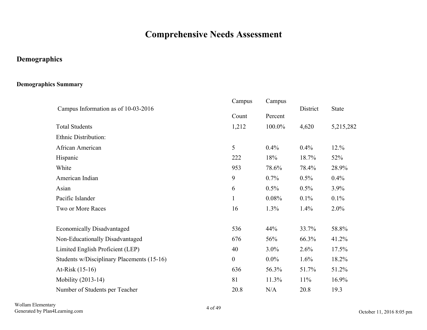## **Comprehensive Needs Assessment**

## <span id="page-3-0"></span>**Demographics**

#### **Demographics Summary**

|                                            | Campus           | Campus  |          |              |
|--------------------------------------------|------------------|---------|----------|--------------|
| Campus Information as of 10-03-2016        | Count            | Percent | District | <b>State</b> |
| <b>Total Students</b>                      | 1,212            | 100.0%  | 4,620    | 5,215,282    |
| Ethnic Distribution:                       |                  |         |          |              |
| African American                           | 5                | 0.4%    | 0.4%     | 12.%         |
| Hispanic                                   | 222              | 18%     | 18.7%    | 52%          |
| White                                      | 953              | 78.6%   | 78.4%    | 28.9%        |
| American Indian                            | 9                | $0.7\%$ | 0.5%     | 0.4%         |
| Asian                                      | 6                | 0.5%    | 0.5%     | 3.9%         |
| Pacific Islander                           | $\mathbf{1}$     | 0.08%   | 0.1%     | 0.1%         |
| Two or More Races                          | 16               | 1.3%    | 1.4%     | 2.0%         |
| <b>Economically Disadvantaged</b>          | 536              | 44%     | 33.7%    | 58.8%        |
| Non-Educationally Disadvantaged            | 676              | 56%     | 66.3%    | 41.2%        |
| Limited English Proficient (LEP)           | 40               | $3.0\%$ | 2.6%     | 17.5%        |
| Students w/Disciplinary Placements (15-16) | $\boldsymbol{0}$ | $0.0\%$ | 1.6%     | 18.2%        |
| At-Risk (15-16)                            | 636              | 56.3%   | 51.7%    | 51.2%        |
| Mobility (2013-14)                         | 81               | 11.3%   | 11%      | 16.9%        |
| Number of Students per Teacher             | 20.8             | N/A     | 20.8     | 19.3         |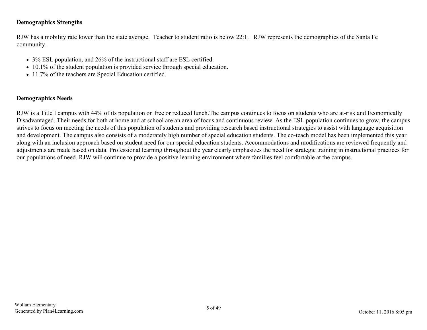#### **Demographics Strengths**

RJW has a mobility rate lower than the state average. Teacher to student ratio is below 22:1. RJW represents the demographics of the Santa Fe community.

- 3% ESL population, and 26% of the instructional staff are ESL certified.
- 10.1% of the student population is provided service through special education.
- 11.7% of the teachers are Special Education certified.

#### **Demographics Needs**

RJW is a Title I campus with 44% of its population on free or reduced lunch.The campus continues to focus on students who are at-risk and Economically Disadvantaged. Their needs for both at home and at school are an area of focus and continuous review. As the ESL population continues to grow, the campus strives to focus on meeting the needs of this population of students and providing research based instructional strategies to assist with language acquisition and development. The campus also consists of a moderately high number of special education students. The co-teach model has been implemented this year along with an inclusion approach based on student need for our special education students. Accommodations and modifications are reviewed frequently and adjustments are made based on data. Professional learning throughout the year clearly emphasizes the need for strategic training in instructional practices for our populations of need. RJW will continue to provide a positive learning environment where families feel comfortable at the campus.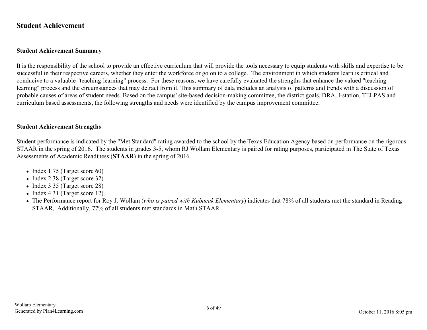#### <span id="page-5-0"></span>**Student Achievement**

#### **Student Achievement Summary**

It is the responsibility of the school to provide an effective curriculum that will provide the tools necessary to equip students with skills and expertise to be successful in their respective careers, whether they enter the workforce or go on to a college. The environment in which students learn is critical and conducive to a valuable "teaching-learning" process. For these reasons, we have carefully evaluated the strengths that enhance the valued "teachinglearning" process and the circumstances that may detract from it. This summary of data includes an analysis of patterns and trends with a discussion of probable causes of areas of student needs. Based on the campus' site-based decision-making committee, the district goals, DRA, I-station, TELPAS and curriculum based assessments, the following strengths and needs were identified by the campus improvement committee.

#### **Student Achievement Strengths**

Student performance is indicated by the "Met Standard" rating awarded to the school by the Texas Education Agency based on performance on the rigorous STAAR in the spring of 2016. The students in grades 3-5, whom RJ Wollam Elementary is paired for rating purposes, participated in The State of Texas Assessments of Academic Readiness (**STAAR**) in the spring of 2016.

- $\bullet$  Index 1 75 (Target score 60)
- Index 2 38 (Target score 32)
- Index 3 35 (Target score 28)
- $\bullet$  Index 4 31 (Target score 12)
- The Performance report for Roy J. Wollam (*who is paired with Kubacak Elementary*) indicates that 78% of all students met the standard in Reading STAAR, Additionally, 77% of all students met standards in Math STAAR.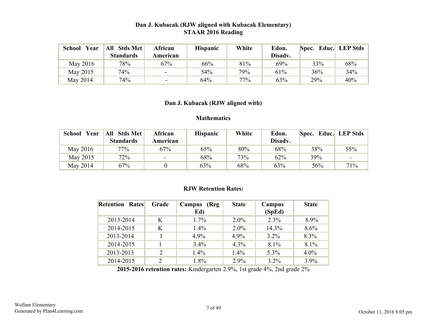#### **Dan J. Kubacak (RJW aligned with Kubacak Elementary) STAAR 2016 Reading**

| <b>School</b><br>Year | Stds Met<br>All  | African                  | <b>Hispanic</b> | White | Edon.   | Spec. Educ. LEP Stds |     |
|-----------------------|------------------|--------------------------|-----------------|-------|---------|----------------------|-----|
|                       | <b>Standards</b> | American                 |                 |       | Disadv. |                      |     |
| May 2016              | 78%              | 67%                      | 66%             | 81%   | 69%     | 33%                  | 68% |
| May 2015              | 74%              |                          | 54%             | 79%   | 61%     | 36%                  | 34% |
| May 2014              | 74%              | $\overline{\phantom{0}}$ | 64%             | 77%   | 63%     | 29%                  | 40% |

#### **Dan J. Kubacak (RJW aligned with)**

#### **Mathematics**

| Year<br><b>School</b> | All Stds Met     | African                  | <b>Hispanic</b> | White | Edon.   | Spec. Educ. LEP Stds |                 |
|-----------------------|------------------|--------------------------|-----------------|-------|---------|----------------------|-----------------|
|                       | <b>Standards</b> | American                 |                 |       | Disadv. |                      |                 |
| May 2016              | $77\%$           | 67%                      | 65%             | 80%   | 68%     | 38%                  | 55%             |
| May 2015              | 72%              | $\overline{\phantom{0}}$ | 68%             | 73%   | 62%     | 39%                  | $\qquad \qquad$ |
| May 2014              | 67%              |                          | 63%             | 68%   | 63%     | 56%                  | 71%             |

#### **RJW Retention Rates:**

| <b>Retention Rates</b> | Grade          | <b>Campus</b><br>(Reg<br>Ed) | <b>State</b> | Campus<br>(SpEd) | <b>State</b> |
|------------------------|----------------|------------------------------|--------------|------------------|--------------|
| 2013-2014              | K              | $1.7\%$                      | $2.0\%$      | 2.3%             | 8.9%         |
| 2014-2015              | K              | $1.4\%$                      | $2.0\%$      | 14.3%            | 8.6%         |
| 2013-2014              |                | 4.9%                         | 4.9%         | $3.2\%$          | 8.3%         |
| 2014-2015              |                | 3.4%                         | $4.3\%$      | 8.1%             | 8.1%         |
| 2013-2013              | 2              | $1.4\%$                      | 1.4%         | 5.3%             | $4.0\%$      |
| 2014-2015              | $\overline{2}$ | 1.8%                         | 2.9%         | $3.2\%$          | $3.9\%$      |

**2015-2016 retention rates:** Kindergarten 2.9%, 1st grade 4%, 2nd grade 2%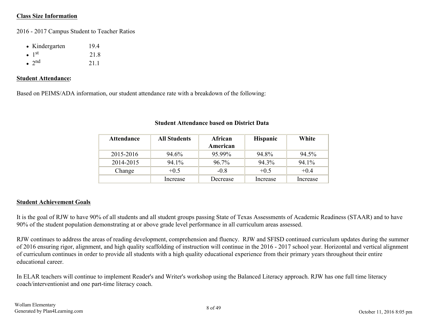#### **Class Size Information**

2016 - 2017 Campus Student to Teacher Ratios

| • Kindergarten            | 194  |
|---------------------------|------|
| $\bullet$ 1 <sup>st</sup> | 21.8 |
| $\bullet$ 2 <sup>nd</sup> | 21.1 |

#### **Student Attendance:**

Based on PEIMS/ADA information, our student attendance rate with a breakdown of the following:

| <b>Attendance</b> | <b>All Students</b> | African<br>American | <b>Hispanic</b> | White    |
|-------------------|---------------------|---------------------|-----------------|----------|
| 2015-2016         | 94.6%               | 95.99%              | 94.8%           | 94.5%    |
| 2014-2015         | 94.1%               | 96.7%               | $94.3\%$        | 94.1%    |
| Change            | $+0.5$              | $-0.8$              | $+0.5$          | $+0.4$   |
|                   | Increase            | Decrease            | Increase        | Increase |

#### **Student Attendance based on District Data**

#### **Student Achievement Goals**

It is the goal of RJW to have 90% of all students and all student groups passing State of Texas Assessments of Academic Readiness (STAAR) and to have 90% of the student population demonstrating at or above grade level performance in all curriculum areas assessed.

RJW continues to address the areas of reading development, comprehension and fluency. RJW and SFISD continued curriculum updates during the summer of 2016 ensuring rigor, alignment, and high quality scaffolding of instruction will continue in the 2016 - 2017 school year. Horizontal and vertical alignment of curriculum continues in order to provide all students with a high quality educational experience from their primary years throughout their entire educational career.

In ELAR teachers will continue to implement Reader's and Writer's workshop using the Balanced Literacy approach. RJW has one full time literacy coach/interventionist and one part-time literacy coach.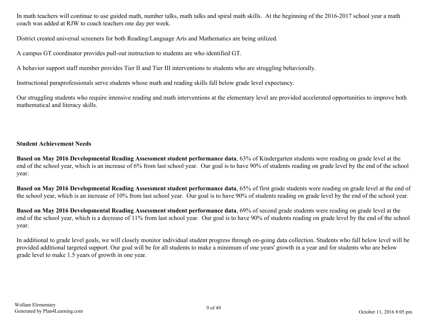In math teachers will continue to use guided math, number talks, math talks and spiral math skills. At the beginning of the 2016-2017 school year a math coach was added at RJW to coach teachers one day per week.

District created universal screeners for both Reading/Language Arts and Mathematics are being utilized.

A campus GT coordinator provides pull-out instruction to students are who identified GT.

A behavior support staff member provides Tier II and Tier III interventions to students who are struggling behaviorally.

Instructional paraprofessionals serve students whose math and reading skills fall below grade level expectancy.

Our struggling students who require intensive reading and math interventions at the elementary level are provided accelerated opportunities to improve both mathematical and literacy skills.

#### **Student Achievement Needs**

**Based on May 2016 Developmental Reading Assessment student performance data**, 63% of Kindergarten students were reading on grade level at the end of the school year, which is an increase of 6% from last school year. Our goal is to have 90% of students reading on grade level by the end of the school year.

**Based on May 2016 Developmental Reading Assessment student performance data**, 65% of first grade students were reading on grade level at the end of the school year, which is an increase of 10% from last school year. Our goal is to have 90% of students reading on grade level by the end of the school year.

**Based on May 2016 Developmental Reading Assessment student performance data**, 69% of second grade students were reading on grade level at the end of the school year, which is a decrease of 11% from last school year. Our goal is to have 90% of students reading on grade level by the end of the school year.

In additional to grade level goals, we will closely monitor individual student progress through on-going data collection. Students who fall below level will be provided additional targeted support. Our goal will be for all students to make a minimum of one years' growth in a year and for students who are below grade level to make 1.5 years of growth in one year.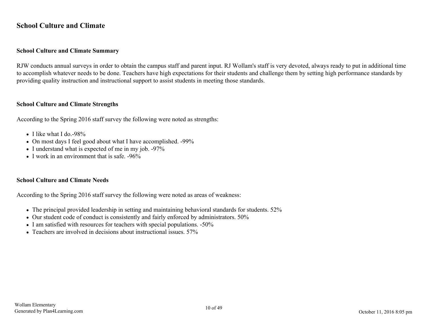#### <span id="page-9-0"></span>**School Culture and Climate**

#### **School Culture and Climate Summary**

RJW conducts annual surveys in order to obtain the campus staff and parent input. RJ Wollam's staff is very devoted, always ready to put in additional time to accomplish whatever needs to be done. Teachers have high expectations for their students and challenge them by setting high performance standards by providing quality instruction and instructional support to assist students in meeting those standards.

#### **School Culture and Climate Strengths**

According to the Spring 2016 staff survey the following were noted as strengths:

- I like what I do.-98%
- On most days I feel good about what I have accomplished. -99%
- I understand what is expected of me in my job. -97%
- $\bullet$  I work in an environment that is safe.  $-96\%$

#### **School Culture and Climate Needs**

According to the Spring 2016 staff survey the following were noted as areas of weakness:

- The principal provided leadership in setting and maintaining behavioral standards for students. 52%
- Our student code of conduct is consistently and fairly enforced by administrators. 50%
- I am satisfied with resources for teachers with special populations. -50%
- Teachers are involved in decisions about instructional issues. 57%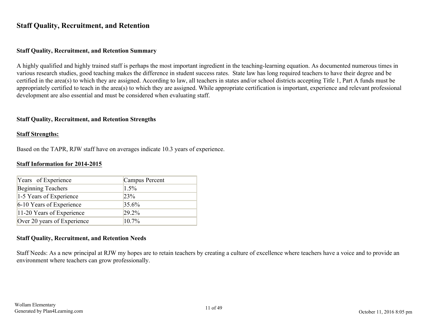#### <span id="page-10-0"></span>**Staff Quality, Recruitment, and Retention**

#### **Staff Quality, Recruitment, and Retention Summary**

A highly qualified and highly trained staff is perhaps the most important ingredient in the teaching-learning equation. As documented numerous times in various research studies, good teaching makes the difference in student success rates. State law has long required teachers to have their degree and be certified in the area(s) to which they are assigned. According to law, all teachers in states and/or school districts accepting Title 1, Part A funds must be appropriately certified to teach in the area(s) to which they are assigned. While appropriate certification is important, experience and relevant professional development are also essential and must be considered when evaluating staff.

#### **Staff Quality, Recruitment, and Retention Strengths**

#### **Staff Strengths:**

Based on the TAPR, RJW staff have on averages indicate 10.3 years of experience.

#### **Staff Information for 2014-2015**

| Years of Experience         | Campus Percent |
|-----------------------------|----------------|
| <b>Beginning Teachers</b>   | 1.5%           |
| 1-5 Years of Experience     | 23%            |
| 6-10 Years of Experience    | 35.6%          |
| 11-20 Years of Experience   | 29.2%          |
| Over 20 years of Experience | $10.7\%$       |

#### **Staff Quality, Recruitment, and Retention Needs**

Staff Needs: As a new principal at RJW my hopes are to retain teachers by creating a culture of excellence where teachers have a voice and to provide an environment where teachers can grow professionally.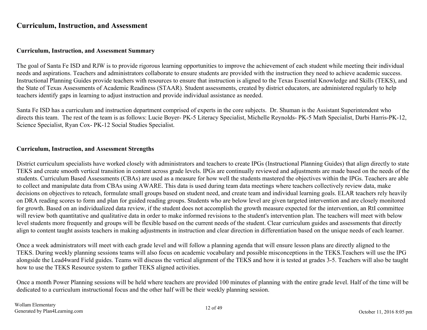#### <span id="page-11-0"></span>**Curriculum, Instruction, and Assessment**

#### **Curriculum, Instruction, and Assessment Summary**

The goal of Santa Fe ISD and RJW is to provide rigorous learning opportunities to improve the achievement of each student while meeting their individual needs and aspirations. Teachers and administrators collaborate to ensure students are provided with the instruction they need to achieve academic success. Instructional Planning Guides provide teachers with resources to ensure that instruction is aligned to the Texas Essential Knowledge and Skills (TEKS), and the State of Texas Assessments of Academic Readiness (STAAR). Student assessments, created by district educators, are administered regularly to help teachers identify gaps in learning to adjust instruction and provide individual assistance as needed.

Santa Fe ISD has a curriculum and instruction department comprised of experts in the core subjects. Dr. Shuman is the Assistant Superintendent who directs this team. The rest of the team is as follows: Lucie Boyer- PK-5 Literacy Specialist, Michelle Reynolds- PK-5 Math Specialist, Darbi Harris-PK-12, Science Specialist, Ryan Cox- PK-12 Social Studies Specialist.

#### **Curriculum, Instruction, and Assessment Strengths**

District curriculum specialists have worked closely with administrators and teachers to create IPGs (Instructional Planning Guides) that align directly to state TEKS and create smooth vertical transition in content across grade levels. IPGs are continually reviewed and adjustments are made based on the needs of the students. Curriculum Based Assessments (CBAs) are used as a measure for how well the students mastered the objectives within the IPGs. Teachers are able to collect and manipulate data from CBAs using AWARE. This data is used during team data meetings where teachers collectively review data, make decisions on objectives to reteach, formulate small groups based on student need, and create team and individual learning goals. ELAR teachers rely heavily on DRA reading scores to form and plan for guided reading groups. Students who are below level are given targeted intervention and are closely monitored for growth. Based on an individualized data review, if the student does not accomplish the growth measure expected for the intervention, an RtI committee will review both quantitative and qualitative data in order to make informed revisions to the student's intervention plan. The teachers will meet with below level students more frequently and groups will be flexible based on the current needs of the student. Clear curriculum guides and assessments that directly align to content taught assists teachers in making adjustments in instruction and clear direction in differentiation based on the unique needs of each learner.

Once a week administrators will meet with each grade level and will follow a planning agenda that will ensure lesson plans are directly aligned to the TEKS. During weekly planning sessions teams will also focus on academic vocabulary and possible misconceptions in the TEKS.Teachers will use the IPG alongside the Lead4ward Field guides. Teams will discuss the vertical alignment of the TEKS and how it is tested at grades 3-5. Teachers will also be taught how to use the TEKS Resource system to gather TEKS aligned activities.

Once a month Power Planning sessions will be held where teachers are provided 100 minutes of planning with the entire grade level. Half of the time will be dedicated to a curriculum instructional focus and the other half will be their weekly planning session.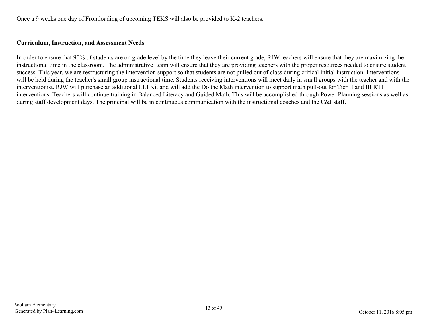Once a 9 weeks one day of Frontloading of upcoming TEKS will also be provided to K-2 teachers.

#### **Curriculum, Instruction, and Assessment Needs**

In order to ensure that 90% of students are on grade level by the time they leave their current grade, RJW teachers will ensure that they are maximizing the instructional time in the classroom. The administrative team will ensure that they are providing teachers with the proper resources needed to ensure student success. This year, we are restructuring the intervention support so that students are not pulled out of class during critical initial instruction. Interventions will be held during the teacher's small group instructional time. Students receiving interventions will meet daily in small groups with the teacher and with the interventionist. RJW will purchase an additional LLI Kit and will add the Do the Math intervention to support math pull-out for Tier II and III RTI interventions. Teachers will continue training in Balanced Literacy and Guided Math. This will be accomplished through Power Planning sessions as well as during staff development days. The principal will be in continuous communication with the instructional coaches and the C&I staff.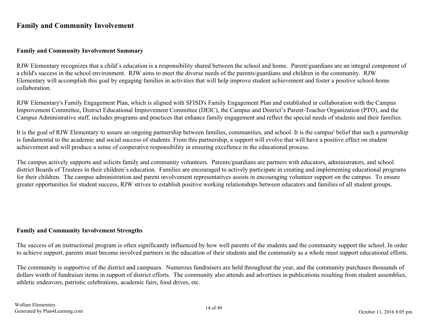#### <span id="page-13-0"></span>**Family and Community Involvement**

#### **Family and Community Involvement Summary**

RJW Elementary recognizes that a child's education is a responsibility shared between the school and home. Parent/guardians are an integral component of a child's success in the school environment. RJW aims to meet the diverse needs of the parents/guardians and children in the community. RJW Elementary will accomplish this goal by engaging families in activities that will help improve student achievement and foster a positive school-home collaboration.

RJW Elementary's Family Engagement Plan, which is aligned with SFISD's Family Engagement Plan and established in collaboration with the Campus Improvement Committee, District Educational Improvement Committee (DEIC), the Campus and District's Parent-Teacher Organization (PTO), and the Campus Administrative staff, includes programs and practices that enhance family engagement and reflect the special needs of students and their families.

It is the goal of RJW Elementary to assure an ongoing partnership between families, communities, and school. It is the campus' belief that such a partnership is fundamental to the academic and social success of students. From this partnership, a support will evolve that will have a positive effect on student achievement and will produce a sense of cooperative responsibility in ensuring excellence in the educational process.

The campus actively supports and solicits family and community volunteers. Parents/guardians are partners with educators, administrators, and school district Boards of Trustees in their children's education. Families are encouraged to actively participate in creating and implementing educational programs for their children. The campus administration and parent involvement representatives assists in encouraging volunteer support on the campus. To ensure greater opportunities for student success, RJW strives to establish positive working relationships between educators and families of all student groups.

#### **Family and Community Involvement Strengths**

The success of an instructional program is often significantly influenced by how well parents of the students and the community support the school. In order to achieve support, parents must become involved partners in the education of their students and the community as a whole must support educational efforts.

The community is supportive of the district and campuses. Numerous fundraisers are held throughout the year, and the community purchases thousands of dollars worth of fundraiser items in support of district efforts. The community also attends and advertises in publications resulting from student assemblies, athletic endeavors, patriotic celebrations, academic fairs, food drives, etc.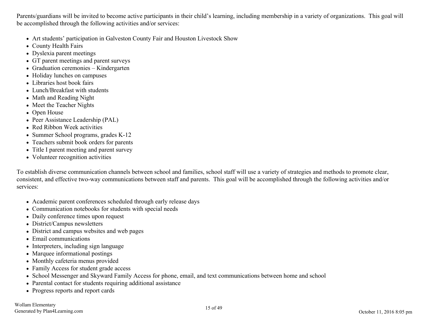Parents/guardians will be invited to become active participants in their child's learning, including membership in a variety of organizations. This goal will be accomplished through the following activities and/or services:

- Art students' participation in Galveston County Fair and Houston Livestock Show
- County Health Fairs
- Dyslexia parent meetings
- GT parent meetings and parent surveys
- Graduation ceremonies Kindergarten
- Holiday lunches on campuses
- Libraries host book fairs
- Lunch/Breakfast with students
- Math and Reading Night
- Meet the Teacher Nights
- Open House
- Peer Assistance Leadership (PAL)
- Red Ribbon Week activities
- Summer School programs, grades K-12
- Teachers submit book orders for parents
- Title I parent meeting and parent survey
- Volunteer recognition activities

To establish diverse communication channels between school and families, school staff will use a variety of strategies and methods to promote clear, consistent, and effective two-way communications between staff and parents. This goal will be accomplished through the following activities and/or services:

- Academic parent conferences scheduled through early release days
- Communication notebooks for students with special needs
- Daily conference times upon request
- District/Campus newsletters
- District and campus websites and web pages
- Email communications
- Interpreters, including sign language
- Marquee informational postings
- Monthly cafeteria menus provided
- Family Access for student grade access
- School Messenger and Skyward Family Access for phone, email, and text communications between home and school
- Parental contact for students requiring additional assistance
- Progress reports and report cards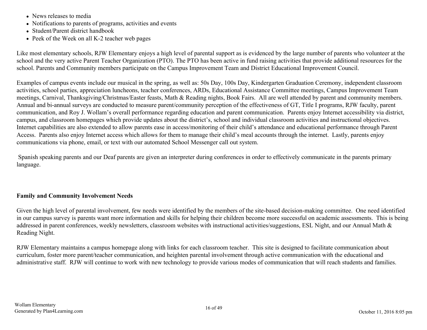- News releases to media
- Notifications to parents of programs, activities and events
- Student/Parent district handbook
- Peek of the Week on all K-2 teacher web pages

Like most elementary schools, RJW Elementary enjoys a high level of parental support as is evidenced by the large number of parents who volunteer at the school and the very active Parent Teacher Organization (PTO). The PTO has been active in fund raising activities that provide additional resources for the school. Parents and Community members participate on the Campus Improvement Team and District Educational Improvement Council.

Examples of campus events include our musical in the spring, as well as: 50s Day, 100s Day, Kindergarten Graduation Ceremony, independent classroom activities, school parties, appreciation luncheons, teacher conferences, ARDs, Educational Assistance Committee meetings, Campus Improvement Team meetings, Carnival, Thanksgiving/Christmas/Easter feasts, Math & Reading nights, Book Fairs. All are well attended by parent and community members. Annual and bi-annual surveys are conducted to measure parent/community perception of the effectiveness of GT, Title I programs, RJW faculty, parent communication, and Roy J. Wollam's overall performance regarding education and parent communication. Parents enjoy Internet accessibility via district, campus, and classroom homepages which provide updates about the district's, school and individual classroom activities and instructional objectives. Internet capabilities are also extended to allow parents ease in access/monitoring of their child's attendance and educational performance through Parent Access. Parents also enjoy Internet access which allows for them to manage their child's meal accounts through the internet. Lastly, parents enjoy communications via phone, email, or text with our automated School Messenger call out system.

 Spanish speaking parents and our Deaf parents are given an interpreter during conferences in order to effectively communicate in the parents primary language.

#### **Family and Community Involvement Needs**

Given the high level of parental involvement, few needs were identified by the members of the site-based decision-making committee. One need identified in our campus survey is parents want more information and skills for helping their children become more successful on academic assessments. This is being addressed in parent conferences, weekly newsletters, classroom websites with instructional activities/suggestions, ESL Night, and our Annual Math & Reading Night.

RJW Elementary maintains a campus homepage along with links for each classroom teacher. This site is designed to facilitate communication about curriculum, foster more parent/teacher communication, and heighten parental involvement through active communication with the educational and administrative staff. RJW will continue to work with new technology to provide various modes of communication that will reach students and families.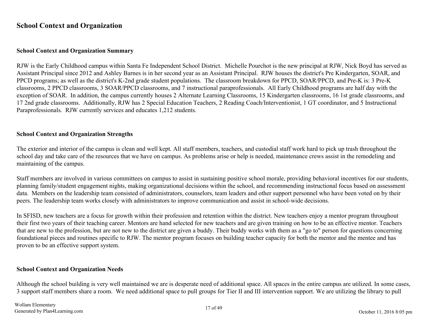#### <span id="page-16-0"></span>**School Context and Organization**

#### **School Context and Organization Summary**

RJW is the Early Childhood campus within Santa Fe Independent School District. Michelle Pourchot is the new principal at RJW, Nick Boyd has served as Assistant Principal since 2012 and Ashley Barnes is in her second year as an Assistant Principal. RJW houses the district's Pre Kindergarten, SOAR, and PPCD programs; as well as the district's K-2nd grade student populations. The classroom breakdown for PPCD, SOAR/PPCD, and Pre-K is: 3 Pre-K classrooms, 2 PPCD classrooms, 3 SOAR/PPCD classrooms, and 7 instructional paraprofessionals. All Early Childhood programs are half day with the exception of SOAR. In addition, the campus currently houses 2 Alternate Learning Classrooms, 15 Kindergarten classrooms, 16 1st grade classrooms, and 17 2nd grade classrooms. Additionally, RJW has 2 Special Education Teachers, 2 Reading Coach/Interventionist, 1 GT coordinator, and 5 Instructional Paraprofessionals. RJW currently services and educates 1,212 students.

#### **School Context and Organization Strengths**

The exterior and interior of the campus is clean and well kept. All staff members, teachers, and custodial staff work hard to pick up trash throughout the school day and take care of the resources that we have on campus. As problems arise or help is needed, maintenance crews assist in the remodeling and maintaining of the campus.

Staff members are involved in various committees on campus to assist in sustaining positive school morale, providing behavioral incentives for our students, planning family/student engagement nights, making organizational decisions within the school, and recommending instructional focus based on assessment data. Members on the leadership team consisted of administrators, counselors, team leaders and other support personnel who have been voted on by their peers. The leadership team works closely with administrators to improve communication and assist in school-wide decisions.

In SFISD, new teachers are a focus for growth within their profession and retention within the district. New teachers enjoy a mentor program throughout their first two years of their teaching career. Mentors are hand selected for new teachers and are given training on how to be an effective mentor. Teachers that are new to the profession, but are not new to the district are given a buddy. Their buddy works with them as a "go to" person for questions concerning foundational pieces and routines specific to RJW. The mentor program focuses on building teacher capacity for both the mentor and the mentee and has proven to be an effective support system.

#### **School Context and Organization Needs**

Although the school building is very well maintained we are is desperate need of additional space. All spaces in the entire campus are utilized. In some cases, 3 support staff members share a room. We need additional space to pull groups for Tier II and III intervention support. We are utilizing the library to pull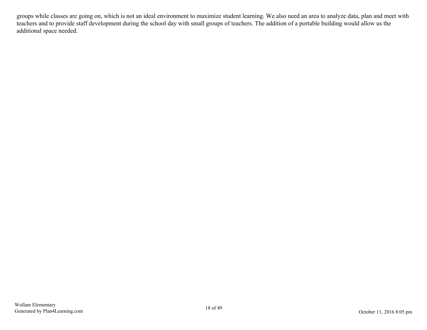groups while classes are going on, which is not an ideal environment to maximize student learning. We also need an area to analyze data, plan and meet with teachers and to provide staff development during the school day with small groups of teachers. The addition of a portable building would allow us the additional space needed.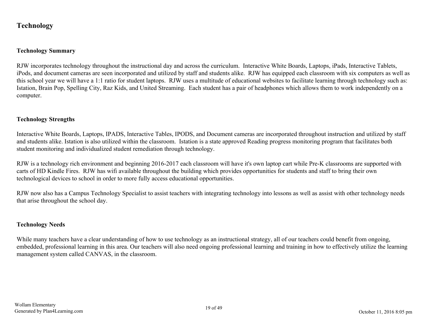#### <span id="page-18-0"></span>**Technology**

#### **Technology Summary**

RJW incorporates technology throughout the instructional day and across the curriculum. Interactive White Boards, Laptops, iPads, Interactive Tablets, iPods, and document cameras are seen incorporated and utilized by staff and students alike. RJW has equipped each classroom with six computers as well as this school year we will have a 1:1 ratio for student laptops. RJW uses a multitude of educational websites to facilitate learning through technology such as: Istation, Brain Pop, Spelling City, Raz Kids, and United Streaming. Each student has a pair of headphones which allows them to work independently on a computer.

#### **Technology Strengths**

Interactive White Boards, Laptops, IPADS, Interactive Tables, IPODS, and Document cameras are incorporated throughout instruction and utilized by staff and students alike. Istation is also utilized within the classroom. Istation is a state approved Reading progress monitoring program that facilitates both student monitoring and individualized student remediation through technology.

RJW is a technology rich environment and beginning 2016-2017 each classroom will have it's own laptop cart while Pre-K classrooms are supported with carts of HD Kindle Fires. RJW has wifi available throughout the building which provides opportunities for students and staff to bring their own technological devices to school in order to more fully access educational opportunities.

RJW now also has a Campus Technology Specialist to assist teachers with integrating technology into lessons as well as assist with other technology needs that arise throughout the school day.

#### **Technology Needs**

While many teachers have a clear understanding of how to use technology as an instructional strategy, all of our teachers could benefit from ongoing, embedded, professional learning in this area. Our teachers will also need ongoing professional learning and training in how to effectively utilize the learning management system called CANVAS, in the classroom.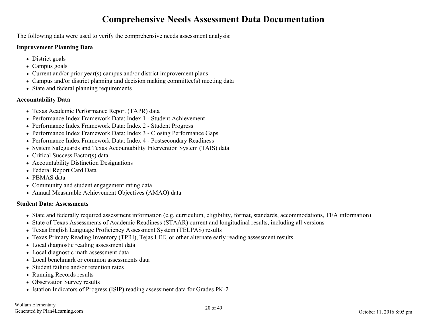## **Comprehensive Needs Assessment Data Documentation**

<span id="page-19-0"></span>The following data were used to verify the comprehensive needs assessment analysis:

#### **Improvement Planning Data**

- District goals
- Campus goals
- Current and/or prior year(s) campus and/or district improvement plans
- Campus and/or district planning and decision making committee(s) meeting data
- State and federal planning requirements

#### **Accountability Data**

- Texas Academic Performance Report (TAPR) data
- Performance Index Framework Data: Index 1 Student Achievement
- Performance Index Framework Data: Index 2 Student Progress
- Performance Index Framework Data: Index 3 Closing Performance Gaps
- Performance Index Framework Data: Index 4 Postsecondary Readiness
- System Safeguards and Texas Accountability Intervention System (TAIS) data
- Critical Success Factor(s) data
- Accountability Distinction Designations
- Federal Report Card Data
- PBMAS data
- Community and student engagement rating data
- Annual Measurable Achievement Objectives (AMAO) data

#### **Student Data: Assessments**

- State and federally required assessment information (e.g. curriculum, eligibility, format, standards, accommodations, TEA information)
- State of Texas Assessments of Academic Readiness (STAAR) current and longitudinal results, including all versions
- Texas English Language Proficiency Assessment System (TELPAS) results
- Texas Primary Reading Inventory (TPRI), Tejas LEE, or other alternate early reading assessment results
- Local diagnostic reading assessment data
- Local diagnostic math assessment data
- Local benchmark or common assessments data
- Student failure and/or retention rates
- Running Records results
- Observation Survey results
- Istation Indicators of Progress (ISIP) reading assessment data for Grades PK-2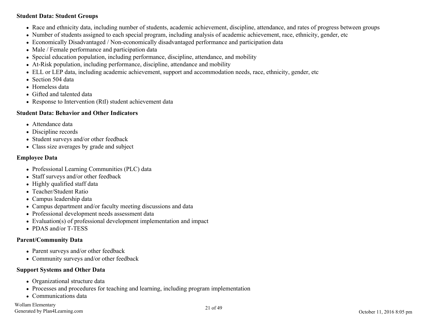#### **Student Data: Student Groups**

- Race and ethnicity data, including number of students, academic achievement, discipline, attendance, and rates of progress between groups
- Number of students assigned to each special program, including analysis of academic achievement, race, ethnicity, gender, etc
- Economically Disadvantaged / Non-economically disadvantaged performance and participation data
- Male / Female performance and participation data
- Special education population, including performance, discipline, attendance, and mobility
- At-Risk population, including performance, discipline, attendance and mobility
- ELL or LEP data, including academic achievement, support and accommodation needs, race, ethnicity, gender, etc
- Section 504 data
- Homeless data
- Gifted and talented data
- Response to Intervention (RtI) student achievement data

#### **Student Data: Behavior and Other Indicators**

- Attendance data
- Discipline records
- Student surveys and/or other feedback
- Class size averages by grade and subject

#### **Employee Data**

- Professional Learning Communities (PLC) data
- Staff surveys and/or other feedback
- Highly qualified staff data
- Teacher/Student Ratio
- Campus leadership data
- Campus department and/or faculty meeting discussions and data
- Professional development needs assessment data
- Evaluation(s) of professional development implementation and impact
- PDAS and/or T-TESS

#### **Parent/Community Data**

- Parent surveys and/or other feedback
- Community surveys and/or other feedback

#### **Support Systems and Other Data**

- Organizational structure data
- Processes and procedures for teaching and learning, including program implementation
- Communications data

Wollam Elementary Generated by Plan4Learning.com 21 of 49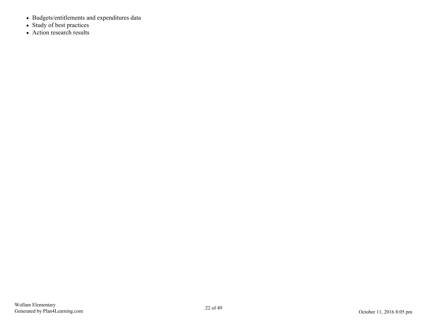- Budgets/entitlements and expenditures data
- Study of best practices
- Action research results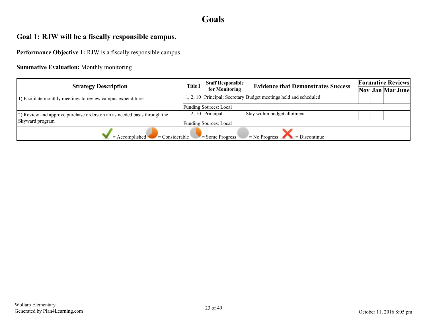## **Goals**

## <span id="page-22-0"></span>**Goal 1: RJW will be a fiscally responsible campus.**

**Performance Objective 1:** RJW is a fiscally responsible campus

#### **Summative Evaluation:** Monthly monitoring

| <b>Strategy Description</b>                                              | <b>Staff Responsible</b><br><b>Title I</b> | <b>Evidence that Demonstrates Success</b> | <b>Formative Reviews</b>                                        |  |  |  |                                                                              |  |
|--------------------------------------------------------------------------|--------------------------------------------|-------------------------------------------|-----------------------------------------------------------------|--|--|--|------------------------------------------------------------------------------|--|
|                                                                          |                                            | for Monitoring                            |                                                                 |  |  |  | $\vert \text{Nov} \vert \text{Jan} \vert \text{Mar} \vert \text{June} \vert$ |  |
| 1) Facilitate monthly meetings to review campus expenditures             |                                            |                                           | , 2, 10 Principal; Secretary Budget meetings held and scheduled |  |  |  |                                                                              |  |
|                                                                          |                                            | <b>Funding Sources: Local</b>             |                                                                 |  |  |  |                                                                              |  |
| (2) Review and approve purchase orders on an as needed basis through the |                                            | $1, 2, 10$ Principal                      | Stay within budget allotment                                    |  |  |  |                                                                              |  |
| Skyward program                                                          |                                            | <b>Funding Sources: Local</b>             |                                                                 |  |  |  |                                                                              |  |
| $\blacksquare$ Considerable<br>$=$ Accomplished                          |                                            | $\blacktriangleright$ = Some Progress     | $= No$ Progress $= Discontinue$                                 |  |  |  |                                                                              |  |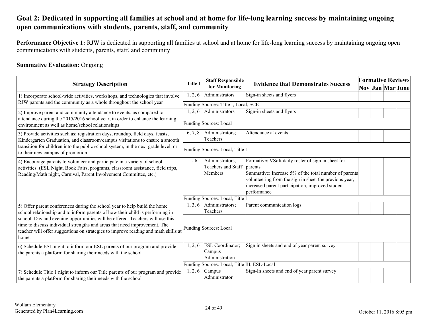## <span id="page-23-0"></span>**Goal 2: Dedicated in supporting all families at school and at home for life-long learning success by maintaining ongoing open communications with students, parents, staff, and community**

**Performance Objective 1:** RJW is dedicated in supporting all families at school and at home for life-long learning success by maintaining ongoing open communications with students, parents, staff, and community

#### **Summative Evaluation:** Ongoing

| <b>Strategy Description</b>                                                                                                                                                                                                                               |                | <b>Staff Responsible</b>                            | <b>Evidence that Demonstrates Success</b>                                                                                                                                                                                                           |  | <b>Formative Reviews</b> |  |                  |
|-----------------------------------------------------------------------------------------------------------------------------------------------------------------------------------------------------------------------------------------------------------|----------------|-----------------------------------------------------|-----------------------------------------------------------------------------------------------------------------------------------------------------------------------------------------------------------------------------------------------------|--|--------------------------|--|------------------|
|                                                                                                                                                                                                                                                           | <b>Title I</b> | for Monitoring                                      |                                                                                                                                                                                                                                                     |  |                          |  | Nov Jan Mar June |
| 1) Incorporate school-wide activities, workshops, and technologies that involve<br>RJW parents and the community as a whole throughout the school year                                                                                                    | 1, 2, 6        | Administrators                                      | Sign-in sheets and flyers                                                                                                                                                                                                                           |  |                          |  |                  |
|                                                                                                                                                                                                                                                           |                | Funding Sources: Title I, Local, SCE                |                                                                                                                                                                                                                                                     |  |                          |  |                  |
| 2) Improve parent and community attendance to events, as compared to<br>attendance during the 2015/2016 school year, in order to enhance the learning                                                                                                     | 1, 2, 6        | Administrators                                      | Sign-in sheets and flyers                                                                                                                                                                                                                           |  |                          |  |                  |
| environment as well as home/school relationships                                                                                                                                                                                                          |                | <b>Funding Sources: Local</b>                       |                                                                                                                                                                                                                                                     |  |                          |  |                  |
| 3) Provide activities such as: registration days, roundup, field days, feasts,<br>Kindergarten Graduation, and classroom/campus visitations to ensure a smooth                                                                                            | 6, 7, 8        | Administrators;<br>Teachers                         | Attendance at events                                                                                                                                                                                                                                |  |                          |  |                  |
| transition for children into the public school system, in the next grade level, or<br>to their new campus of promotion                                                                                                                                    |                | Funding Sources: Local, Title I                     |                                                                                                                                                                                                                                                     |  |                          |  |                  |
| 4) Encourage parents to volunteer and participate in a variety of school<br>activities. (ESL Night, Book Fairs, programs, classroom assistance, field trips,<br>Reading/Math night, Carnival, Parent Involvement Committee, etc.)                         | 1, 6           | Administrators,<br>Teachers and Staff<br>Members    | Formative: VSoft daily roster of sign in sheet for<br>barents<br>Summative: Increase 5% of the total number of parents<br>volunteering from the sign in sheet the previous year,<br>increased parent participation, improved student<br>performance |  |                          |  |                  |
|                                                                                                                                                                                                                                                           |                | Funding Sources: Local, Title I                     |                                                                                                                                                                                                                                                     |  |                          |  |                  |
| 5) Offer parent conferences during the school year to help build the home<br>school relationship and to inform parents of how their child is performing in                                                                                                | 1, 3, 6        | Administrators;<br>Teachers                         | Parent communication logs                                                                                                                                                                                                                           |  |                          |  |                  |
| school. Day and evening opportunities will be offered. Teachers will use this<br>time to discuss individual strengths and areas that need improvement. The<br>teacher will offer suggestions on strategies to improve reading and math skills at<br>home. |                | <b>Funding Sources: Local</b>                       |                                                                                                                                                                                                                                                     |  |                          |  |                  |
| 6) Schedule ESL night to inform our ESL parents of our program and provide<br>the parents a platform for sharing their needs with the school                                                                                                              | 1, 2, 6        | <b>ESL</b> Coordinator;<br>Campus<br>Administration | Sign in sheets and end of year parent survey                                                                                                                                                                                                        |  |                          |  |                  |
|                                                                                                                                                                                                                                                           |                | Funding Sources: Local, Title III, ESL-Local        |                                                                                                                                                                                                                                                     |  |                          |  |                  |
| 7) Schedule Title 1 night to inform our Title parents of our program and provide<br>the parents a platform for sharing their needs with the school                                                                                                        | 1, 2, 6        | Campus<br><b>Administrator</b>                      | Sign-In sheets and end of year parent survey                                                                                                                                                                                                        |  |                          |  |                  |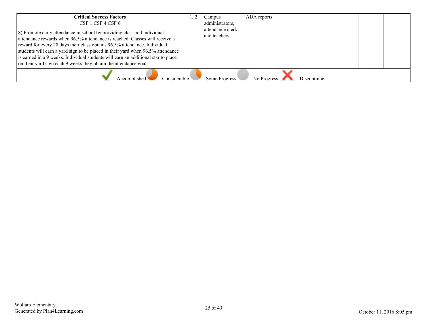| <b>Critical Success Factors</b><br>CSF 1 CSF 4 CSF 6<br>8) Promote daily attendance in school by providing class and individual<br>attendance rewards when 96.5% attendance is reached. Classes will receive a<br>reward for every 20 days their class obtains 96.5% attendance. Individual<br>students will earn a yard sign to be placed in their yard when 96.5% attendance<br>is earned in a 9 weeks. Individual students will earn an additional star to place<br>on their yard sign each 9 weeks they obtain the attendance goal. |  | Campus<br>administrators,<br>attendance clerk<br>land teachers | ADA reports |  |  |  |  |  |  |  |
|-----------------------------------------------------------------------------------------------------------------------------------------------------------------------------------------------------------------------------------------------------------------------------------------------------------------------------------------------------------------------------------------------------------------------------------------------------------------------------------------------------------------------------------------|--|----------------------------------------------------------------|-------------|--|--|--|--|--|--|--|
| $\blacksquare$ Considerable<br>$=$ Accomplished<br>$\equiv$ Some Progress<br>$=$ No Progress $\Box$<br>$\blacksquare$ = Discontinue                                                                                                                                                                                                                                                                                                                                                                                                     |  |                                                                |             |  |  |  |  |  |  |  |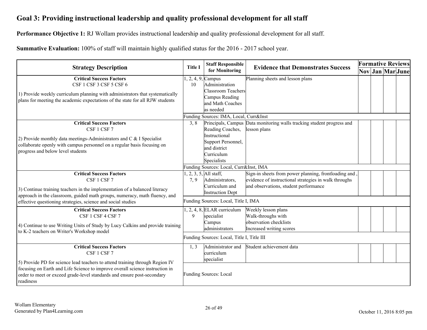## <span id="page-25-0"></span>**Goal 3: Providing instructional leadership and quality professional development for all staff**

**Performance Objective 1:** RJ Wollam provides instructional leadership and quality professional development for all staff.

**Summative Evaluation:** 100% of staff will maintain highly qualified status for the 2016 - 2017 school year.

| <b>Title I</b><br><b>Strategy Description</b>                                                                                                                                                                                                                                                          |      | <b>Staff Responsible</b>                                                                                                                                   | <b>Evidence that Demonstrates Success</b>                                                                                                               |  | <b>Formative Reviews</b> |  |                  |  |
|--------------------------------------------------------------------------------------------------------------------------------------------------------------------------------------------------------------------------------------------------------------------------------------------------------|------|------------------------------------------------------------------------------------------------------------------------------------------------------------|---------------------------------------------------------------------------------------------------------------------------------------------------------|--|--------------------------|--|------------------|--|
|                                                                                                                                                                                                                                                                                                        |      | for Monitoring                                                                                                                                             |                                                                                                                                                         |  |                          |  | Nov Jan Mar June |  |
| <b>Critical Success Factors</b><br>CSF 1 CSF 3 CSF 5 CSF 6<br>1) Provide weekly curriculum planning with administrators that systematically<br>plans for meeting the academic expectations of the state for all RJW students                                                                           | 10   | $, 2, 4, 9$ , Campus<br>Administration<br>Classroom Teachers<br>Campus Reading<br>and Math Coaches<br>las needed<br>Funding Sources: IMA, Local, Curr&Inst | Planning sheets and lesson plans                                                                                                                        |  |                          |  |                  |  |
| <b>Critical Success Factors</b><br>CSF 1 CSF 7<br>2) Provide monthly data meetings-Administrators and C & I Specialist<br>collaborate openly with campus personnel on a regular basis focusing on<br>progress and below level students                                                                 | 3, 8 | Reading Coaches,<br>Instructional<br>Support Personnel,<br>and district<br>Curriculum<br>Specialists                                                       | Principals, Campus Data monitoring walls tracking student progress and<br>lesson plans                                                                  |  |                          |  |                  |  |
|                                                                                                                                                                                                                                                                                                        |      | Funding Sources: Local, Curr&Inst, IMA                                                                                                                     |                                                                                                                                                         |  |                          |  |                  |  |
| <b>Critical Success Factors</b><br>CSF 1 CSF 7<br>3) Continue training teachers in the implementation of a balanced literacy<br>approach in the classroom, guided math groups, numeracy, math fluency, and<br>effective questioning strategies, science and social studies                             | 7,9  | , 2, 3, 5, All staff,<br>Administrators,<br>Curriculum and<br><b>Instruction Dept</b><br>Funding Sources: Local, Title I, IMA                              | Sign-in sheets from power planning, frontloading and,<br>evidence of instructional strategies in walk throughs<br>and observations, student performance |  |                          |  |                  |  |
| <b>Critical Success Factors</b><br>CSF 1 CSF 4 CSF 7<br>4) Continue to use Writing Units of Study by Lucy Calkins and provide training<br>to K-2 teachers on Writer's Workshop model                                                                                                                   | 9    | $, 2, 4, 8$ , ELAR curriculum<br>specialist<br>Campus<br>administrators<br>Funding Sources: Local, Title I, Title III                                      | Weekly lesson plans<br>Walk-throughs with<br>observation checklists<br>Increased writing scores                                                         |  |                          |  |                  |  |
| <b>Critical Success Factors</b><br>CSF 1 CSF 7<br>5) Provide PD for science lead teachers to attend training through Region IV<br>focusing on Earth and Life Science to improve overall science instruction in<br>order to meet or exceed grade-level standards and ensure post-secondary<br>readiness | 1, 3 | Administrator and<br>curriculum<br>specialist<br><b>Funding Sources: Local</b>                                                                             | Student achievement data                                                                                                                                |  |                          |  |                  |  |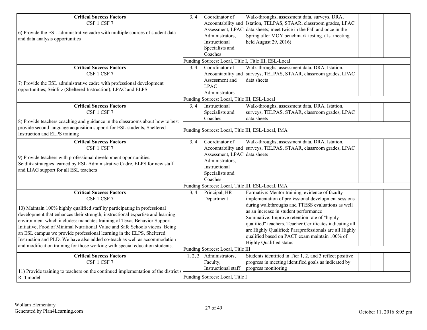| <b>Critical Success Factors</b><br>CSF 1 CSF 7<br>6) Provide the ESL administrative cadre with multiple sources of student data<br>and data analysis opportunities<br><b>Critical Success Factors</b><br>CSF 1 CSF 7<br>7) Provide the ESL administrative cadre with professional development                                                                                                                                                                                                                                                                                                                  | 3, 4<br>3, 4 | Coordinator of<br>Accountability and<br>Assessment, LPAC<br>Administrators,<br>Instructional<br>Specialists and<br>Coaches<br>Coordinator of<br>Accountability and<br>Assessment and<br><b>LPAC</b> | Walk-throughs, assessment data, surveys, DRA,<br>Istation, TELPAS, STAAR, classroom grades, LPAC<br>data sheets; meet twice in the Fall and once in the<br>Spring after MOY benchmark testing. (1st meeting<br>held August $29, 2016$<br>Funding Sources: Local, Title I, Title III, ESL-Local<br>Walk-throughs, assessment data, DRA, Istation,<br>surveys, TELPAS, STAAR, classroom grades, LPAC<br>data sheets                                      |  |
|----------------------------------------------------------------------------------------------------------------------------------------------------------------------------------------------------------------------------------------------------------------------------------------------------------------------------------------------------------------------------------------------------------------------------------------------------------------------------------------------------------------------------------------------------------------------------------------------------------------|--------------|-----------------------------------------------------------------------------------------------------------------------------------------------------------------------------------------------------|--------------------------------------------------------------------------------------------------------------------------------------------------------------------------------------------------------------------------------------------------------------------------------------------------------------------------------------------------------------------------------------------------------------------------------------------------------|--|
| opportunities; Seidlitz (Sheltered Instruction), LPAC and ELPS                                                                                                                                                                                                                                                                                                                                                                                                                                                                                                                                                 |              | Administrators                                                                                                                                                                                      |                                                                                                                                                                                                                                                                                                                                                                                                                                                        |  |
|                                                                                                                                                                                                                                                                                                                                                                                                                                                                                                                                                                                                                |              | Funding Sources: Local, Title III, ESL-Local                                                                                                                                                        |                                                                                                                                                                                                                                                                                                                                                                                                                                                        |  |
| <b>Critical Success Factors</b><br>CSF 1 CSF 7<br>8) Provide teachers coaching and guidance in the classrooms about how to best                                                                                                                                                                                                                                                                                                                                                                                                                                                                                | 3, 4         | Instructional<br>Specialists and<br>Coaches                                                                                                                                                         | Walk-throughs, assessment data, DRA, Istation,<br>surveys, TELPAS, STAAR, classroom grades, LPAC<br>ldata sheets                                                                                                                                                                                                                                                                                                                                       |  |
| provide second language acquisition support for ESL students, Sheltered<br>Instruction and ELPS training                                                                                                                                                                                                                                                                                                                                                                                                                                                                                                       |              |                                                                                                                                                                                                     | Funding Sources: Local, Title III, ESL-Local, IMA                                                                                                                                                                                                                                                                                                                                                                                                      |  |
| <b>Critical Success Factors</b><br>CSF 1 CSF 7<br>9) Provide teachers with professional development opportunities.<br>Seidlitz strategies learned by ESL Administrative Cadre, ELPS for new staff<br>and LIAG support for all ESL teachers                                                                                                                                                                                                                                                                                                                                                                     | 3, 4         | Coordinator of<br>Accountability and<br>Assessment, LPAC data sheets<br>Administrators,<br>Instructional<br>Specialists and<br>Coaches                                                              | Walk-throughs, assessment data, DRA, Istation,<br>surveys, TELPAS, STAAR, classroom grades, LPAC                                                                                                                                                                                                                                                                                                                                                       |  |
|                                                                                                                                                                                                                                                                                                                                                                                                                                                                                                                                                                                                                |              |                                                                                                                                                                                                     | Funding Sources: Local, Title III, ESL-Local, IMA                                                                                                                                                                                                                                                                                                                                                                                                      |  |
| <b>Critical Success Factors</b><br>CSF 1 CSF 7<br>10) Maintain 100% highly qualified staff by participating in professional<br>development that enhances their strength, instructional expertise and learning<br>environment which includes: mandates training of Texas Behavior Support<br>Initiative, Food of Minimal Nutritional Value and Safe Schools videos. Being<br>an ESL campus we provide professional learning in the ELPS, Sheltered<br>Instruction and PLD. We have also added co-teach as well as accommodation<br>and modification training for those working with special education students. | 3, 4         | Principal, HR<br>Department                                                                                                                                                                         | Formative: Mentor training, evidence of faculty<br>implementation of professional development sessions<br>during walkthroughs and TTESS evaluations as well<br>as an increase in student performance<br>Summative: Improve retention rate of "highly<br>qualified" teachers, Teacher Certificates indicating all<br>are Highly Qualified; Paraprofessionals are all Highly<br>qualified based on PACT exam maintain 100% of<br>Highly Qualified status |  |
|                                                                                                                                                                                                                                                                                                                                                                                                                                                                                                                                                                                                                |              | Funding Sources: Local, Title III                                                                                                                                                                   |                                                                                                                                                                                                                                                                                                                                                                                                                                                        |  |
| <b>Critical Success Factors</b><br>CSF 1 CSF 7<br>11) Provide training to teachers on the continued implementation of the district's                                                                                                                                                                                                                                                                                                                                                                                                                                                                           | 1, 2, 3      | Administrators,<br>Faculty,<br>Instructional staff                                                                                                                                                  | Students identified in Tier 1, 2, and 3 reflect positive<br>progress in meeting identified goals as indicated by<br>progress monitoring                                                                                                                                                                                                                                                                                                                |  |
| RTI model                                                                                                                                                                                                                                                                                                                                                                                                                                                                                                                                                                                                      |              | Funding Sources: Local, Title I                                                                                                                                                                     |                                                                                                                                                                                                                                                                                                                                                                                                                                                        |  |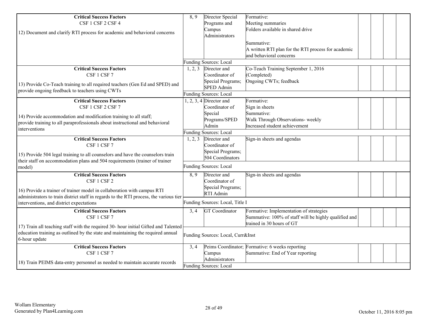| <b>Critical Success Factors</b>                                                        | 8,9     | Director Special                  | Formative:                                            |  |  |  |
|----------------------------------------------------------------------------------------|---------|-----------------------------------|-------------------------------------------------------|--|--|--|
| CSF 1 CSF 2 CSF 4                                                                      |         | Programs and                      | Meeting summaries                                     |  |  |  |
| 12) Document and clarify RTI process for academic and behavioral concerns              |         | Campus                            | Folders available in shared drive                     |  |  |  |
|                                                                                        |         | Administrators                    |                                                       |  |  |  |
|                                                                                        |         |                                   | Summative:                                            |  |  |  |
|                                                                                        |         |                                   | A written RTI plan for the RTI process for academic   |  |  |  |
|                                                                                        |         |                                   | and behavioral concerns                               |  |  |  |
|                                                                                        |         | Funding Sources: Local            |                                                       |  |  |  |
| <b>Critical Success Factors</b>                                                        | 1, 2, 3 | Director and                      | Co-Teach Training September 1, 2016                   |  |  |  |
| CSF 1 CSF 7                                                                            |         | Coordinator of                    | (Completed)                                           |  |  |  |
|                                                                                        |         | Special Programs;                 | Ongoing CWTs; feedback                                |  |  |  |
| 13) Provide Co-Teach training to all required teachers (Gen Ed and SPED) and           |         | <b>SPED Admin</b>                 |                                                       |  |  |  |
| provide ongoing feedback to teachers using CWTs                                        |         | <b>Funding Sources: Local</b>     |                                                       |  |  |  |
| <b>Critical Success Factors</b>                                                        |         | $1, 2, 3, 4$ Director and         | Formative:                                            |  |  |  |
| CSF 1 CSF 2 CSF 7                                                                      |         | Coordinator of                    | Sign in sheets                                        |  |  |  |
|                                                                                        |         | Special                           | Summative:                                            |  |  |  |
| 14) Provide accommodation and modification training to all staff;                      |         | Programs/SPED                     | Walk Through Observations- weekly                     |  |  |  |
| provide training to all paraprofessionals about instructional and behavioral           |         | Admin                             | Increased student achievement                         |  |  |  |
| interventions                                                                          |         | Funding Sources: Local            |                                                       |  |  |  |
| <b>Critical Success Factors</b>                                                        | 1, 2, 3 | Director and                      | Sign-in sheets and agendas                            |  |  |  |
| CSF 1 CSF 7                                                                            |         | Coordinator of                    |                                                       |  |  |  |
| 15) Provide 504 legal training to all counselors and have the counselors train         |         | Special Programs;                 |                                                       |  |  |  |
| their staff on accommodation plans and 504 requirements (trainer of trainer            |         | 504 Coordinators                  |                                                       |  |  |  |
| model)                                                                                 |         | <b>Funding Sources: Local</b>     |                                                       |  |  |  |
|                                                                                        |         |                                   |                                                       |  |  |  |
| <b>Critical Success Factors</b>                                                        | 8.9     | Director and                      | Sign-in sheets and agendas                            |  |  |  |
| CSF 1 CSF 2                                                                            |         | Coordinator of                    |                                                       |  |  |  |
| 16) Provide a trainer of trainer model in collaboration with campus RTI                |         | Special Programs;                 |                                                       |  |  |  |
| administrators to train district staff in regards to the RTI process, the various tier |         | RTI Admin                         |                                                       |  |  |  |
| interventions, and district expectations                                               |         | Funding Sources: Local, Title I   |                                                       |  |  |  |
| <b>Critical Success Factors</b>                                                        | 3, 4    | GT Coordinator                    | Formative: Implementation of strategies               |  |  |  |
| CSF 1 CSF 7                                                                            |         |                                   | Summative: 100% of staff will be highly qualified and |  |  |  |
|                                                                                        |         |                                   | trained in 30 hours of GT                             |  |  |  |
| 17) Train all teaching staff with the required 30- hour initial Gifted and Talented    |         |                                   |                                                       |  |  |  |
| education training as outlined by the state and maintaining the required annual        |         | Funding Sources: Local, Curr&Inst |                                                       |  |  |  |
| 6-hour update                                                                          |         |                                   |                                                       |  |  |  |
| <b>Critical Success Factors</b>                                                        | 3, 4    |                                   | Peims Coordinator; Formative: 6 weeks reporting       |  |  |  |
| CSF 1 CSF 7                                                                            |         | Campus                            | Summative: End of Year reporting                      |  |  |  |
| 18) Train PEIMS data-entry personnel as needed to maintain accurate records            |         | Administrators                    |                                                       |  |  |  |
|                                                                                        |         | Funding Sources: Local            |                                                       |  |  |  |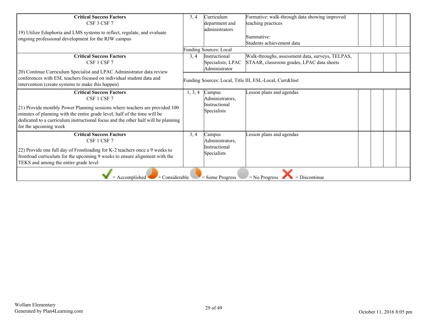| <b>Critical Success Factors</b><br>CSF 3 CSF 7<br>19) Utilize Eduphoria and LMS systems to reflect, regulate, and evaluate                                                                                                                                             | 3, 4    | Curriculum<br>department and<br>ladministrators         | Formative: walk-through data showing improved<br>teaching practices |  |  |  |  |
|------------------------------------------------------------------------------------------------------------------------------------------------------------------------------------------------------------------------------------------------------------------------|---------|---------------------------------------------------------|---------------------------------------------------------------------|--|--|--|--|
| ongoing professional development for the RJW campus                                                                                                                                                                                                                    |         |                                                         | Summative:<br>Students achievement data                             |  |  |  |  |
|                                                                                                                                                                                                                                                                        |         | <b>Funding Sources: Local</b>                           |                                                                     |  |  |  |  |
| <b>Critical Success Factors</b>                                                                                                                                                                                                                                        | 3, 4    | <i>Instructional</i>                                    | Walk-throughs, assessment data, surveys, TELPAS,                    |  |  |  |  |
| CSF 1 CSF 7                                                                                                                                                                                                                                                            |         | Specialists; LPAC                                       | STAAR, classroom grades, LPAC data sheets                           |  |  |  |  |
|                                                                                                                                                                                                                                                                        |         | Administrator                                           |                                                                     |  |  |  |  |
| 20) Continue Curriculum Specialist and LPAC Administrator data review<br>conferences with ESL teachers focused on individual student data and<br>intervention (create systems to make this happen)                                                                     |         | Funding Sources: Local, Title III, ESL-Local, Curr&Inst |                                                                     |  |  |  |  |
| <b>Critical Success Factors</b>                                                                                                                                                                                                                                        | 1, 3, 4 | Campus                                                  | Lesson plans and agendas                                            |  |  |  |  |
| CSF 1 CSF 7                                                                                                                                                                                                                                                            |         | Administrators,                                         |                                                                     |  |  |  |  |
| 21) Provide monthly Power Planning sessions where teachers are provided 100<br>minutes of planning with the entire grade level; half of the time will be<br>dedicated to a curriculum instructional focus and the other half will be planning<br>for the upcoming week |         | Instructional<br>Specialists                            |                                                                     |  |  |  |  |
| <b>Critical Success Factors</b>                                                                                                                                                                                                                                        | 3, 4    | Campus                                                  | Lesson plans and agendas                                            |  |  |  |  |
| CSF 1 CSF 7                                                                                                                                                                                                                                                            |         | Administrators,                                         |                                                                     |  |  |  |  |
| 22) Provide one full day of Frontloading for K-2 teachers once a 9 weeks to<br>frontload curriculum for the upcoming 9 weeks to ensure alignment with the<br>TEKS and among the entire grade level                                                                     |         | Instructional<br>Specialists                            |                                                                     |  |  |  |  |
| $=$ Accomplished<br>$=$ Considerable<br>$=$ Some Progress<br>$=$ No Progress<br>$=$ Discontinue                                                                                                                                                                        |         |                                                         |                                                                     |  |  |  |  |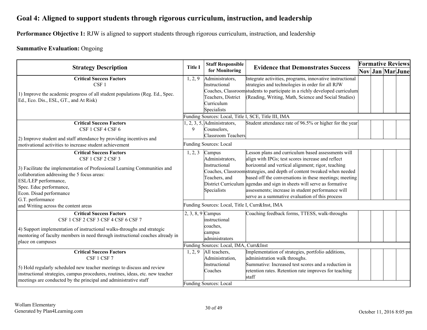## <span id="page-29-0"></span>**Goal 4: Aligned to support students through rigorous curriculum, instruction, and leadership**

**Performance Objective 1:** RJW is aligned to support students through rigorous curriculum, instruction, and leadership

#### **Summative Evaluation:** Ongoing

|                                                                                                                                                                                                                                                                                                 |                     | <b>Staff Responsible</b>                                                                                                                            |                                                                                                                                                                                                                                                                                                                                                                                                                                                                                     |  | <b>Formative Reviews</b> |  |                  |  |  |
|-------------------------------------------------------------------------------------------------------------------------------------------------------------------------------------------------------------------------------------------------------------------------------------------------|---------------------|-----------------------------------------------------------------------------------------------------------------------------------------------------|-------------------------------------------------------------------------------------------------------------------------------------------------------------------------------------------------------------------------------------------------------------------------------------------------------------------------------------------------------------------------------------------------------------------------------------------------------------------------------------|--|--------------------------|--|------------------|--|--|
| <b>Strategy Description</b>                                                                                                                                                                                                                                                                     | <b>Title I</b>      | for Monitoring                                                                                                                                      | <b>Evidence that Demonstrates Success</b>                                                                                                                                                                                                                                                                                                                                                                                                                                           |  |                          |  | Nov Jan Mar June |  |  |
| <b>Critical Success Factors</b><br>CSF <sub>1</sub><br>1) Improve the academic progress of all student populations (Reg. Ed., Spec.<br>Ed., Eco. Dis., ESL, GT., and At Risk)                                                                                                                   | 1, 2, 9             | Administrators,<br>Instructional<br>Teachers, District<br>Curriculum<br>Specialists                                                                 | Integrate activities, programs, innovative instructional<br>strategies and technologies in order for all RJW<br>Coaches, Classroomstudents to participate in a richly developed curriculum<br>(Reading, Writing, Math, Science and Social Studies)<br>Funding Sources: Local, Title I, SCE, Title III, IMA                                                                                                                                                                          |  |                          |  |                  |  |  |
| <b>Critical Success Factors</b><br>CSF 1 CSF 4 CSF 6<br>2) Improve student and staff attendance by providing incentives and<br>motivational activities to increase student achievement                                                                                                          | 9                   | $1, 2, 3, 5,$ Administrators,<br>Counselors,<br>Classroom Teachers<br><b>Funding Sources: Local</b>                                                 | Student attendance rate of 96.5% or higher for the year                                                                                                                                                                                                                                                                                                                                                                                                                             |  |                          |  |                  |  |  |
| <b>Critical Success Factors</b><br>CSF 1 CSF 2 CSF 3<br>3) Facilitate the implementation of Professional Learning Communities and<br>collaboration addressing the 5 focus areas:<br>ESL/LEP performance,<br>Spec. Educ performance,<br>Econ. Disad performance<br>G.T. performance              | 1, 2, 3             | Campus<br>Administrators,<br>Instructional<br>Teachers, and<br>Specialists                                                                          | Lesson plans and curriculum based assessments will<br>align with IPGs; test scores increase and reflect<br>horizontal and vertical alignment; rigor, teaching<br>Coaches, Classroomstrategies, and depth of content tweaked when needed<br>based off the conversations in these meetings; meeting<br>District Curriculum agendas and sign in sheets will serve as formative<br>assessments; increase in student performance will<br>serve as a summative evaluation of this process |  |                          |  |                  |  |  |
| and Writing across the content areas<br><b>Critical Success Factors</b><br>CSF 1 CSF 2 CSF 3 CSF 4 CSF 6 CSF 7<br>4) Support implementation of instructional walks-throughs and strategic<br>mentoring of faculty members in need through instructional coaches already in<br>place on campuses | $2, 3, 8, 9$ Campus | Funding Sources: Local, Title I, Curr&Inst, IMA<br>linstructional<br>coaches.<br>campus<br>administrators<br>Funding Sources: Local, IMA, Curr&Inst | Coaching feedback forms, TTESS, walk-throughs                                                                                                                                                                                                                                                                                                                                                                                                                                       |  |                          |  |                  |  |  |
| <b>Critical Success Factors</b><br>CSF 1 CSF 7<br>5) Hold regularly scheduled new teacher meetings to discuss and review<br>instructional strategies, campus procedures, routines, ideas, etc. new teacher<br>meetings are conducted by the principal and administrative staff                  | 1, 2, 9             | All teachers,<br>Administration,<br>Instructional<br>Coaches<br><b>Funding Sources: Local</b>                                                       | Implementation of strategies, portfolio additions,<br>administration walk throughs.<br>Summative: Increased test scores and a reduction in<br>retention rates. Retention rate improves for teaching<br>staff                                                                                                                                                                                                                                                                        |  |                          |  |                  |  |  |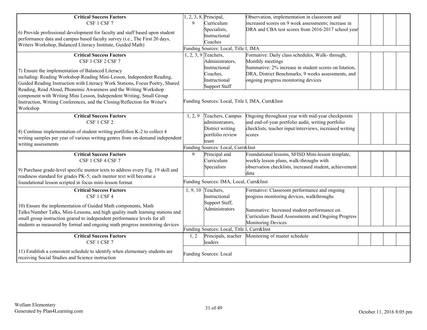| <b>Critical Success Factors</b><br>CSF 1 CSF 7                                                                                                                                                                                                                                                            | 9       | $1, 2, 3, 8$ , Principal,<br>Curriculum<br>Specialists,     | Observation, implementation in classroom and<br>increased scores on 9 week assessments; increase in<br>DRA and CBA test scores from 2016-2017 school year          |  |  |
|-----------------------------------------------------------------------------------------------------------------------------------------------------------------------------------------------------------------------------------------------------------------------------------------------------------|---------|-------------------------------------------------------------|--------------------------------------------------------------------------------------------------------------------------------------------------------------------|--|--|
| 6) Provide professional development for faculty and staff based upon student<br>performance data and campus based faculty survey (i.e., The First 20 days,<br>Writers Workshop, Balanced Literacy Institute, Guided Math)                                                                                 |         | Instructional<br>Coaches                                    |                                                                                                                                                                    |  |  |
|                                                                                                                                                                                                                                                                                                           |         | Funding Sources: Local, Title I, IMA                        |                                                                                                                                                                    |  |  |
| <b>Critical Success Factors</b><br>CSF 1 CSF 2 CSF 7                                                                                                                                                                                                                                                      |         | $1, 2, 3, 9$ Teachers,<br>Administrators,                   | Formative: Daily class schedules, Walk- through,<br>Monthly meetings                                                                                               |  |  |
| 7) Ensure the implementation of Balanced Literacy<br>including: Reading Workshop-Reading Mini-Lesson, Independent Reading,<br>Guided Reading Instruction with Literacy Work Stations, Focus Poetry, Shared<br>Reading, Read Aloud, Phonemic Awareness and the Writing Workshop                            |         | Instructional<br>Coaches,<br>Instructional<br>Support Staff | Summative: 2% increase in student scores on Istation,<br>DRA, District Benchmarks, 9 weeks assessments, and<br>ongoing progress monitoring devices                 |  |  |
| component with Writing Mini Lesson, Independent Writing, Small Group<br>Instruction, Writing Conferences, and the Closing/Reflection for Writer's<br>Workshop                                                                                                                                             |         | Funding Sources: Local, Title I, IMA, Curr&Inst             |                                                                                                                                                                    |  |  |
| <b>Critical Success Factors</b><br>CSF 1 CSF 2<br>8) Continue implementation of student writing portfolios K-2 to collect 4                                                                                                                                                                               | 1, 2, 9 | Teachers, Campus<br>administrators,<br>District writing     | Ongoing throughout year with mid-year checkpoints<br>and end-of-year portfolio audit, writing portfolio<br>checklists, teacher input/interviews, increased writing |  |  |
| writing samples per year of various writing genres from on-demand independent<br>writing assessments                                                                                                                                                                                                      |         | portfolio review<br>team                                    | scores                                                                                                                                                             |  |  |
|                                                                                                                                                                                                                                                                                                           |         | Funding Sources: Local, Curr&Inst                           |                                                                                                                                                                    |  |  |
| <b>Critical Success Factors</b><br>CSF 1 CSF 4 CSF 7<br>9) Purchase grade-level specific mentor texts to address every Fig. 19 skill and                                                                                                                                                                  | 9       | Principal and<br>Curriculum<br>Specialists                  | Foundational lessons, SFISD Mini-lesson template,<br>weekly lesson plans, walk-throughs with<br>observation checklists, increased student, achievement<br>data     |  |  |
| readiness standard for grades PK-5; each mentor text will become a<br>foundational lesson scripted in focus mini-lesson format                                                                                                                                                                            |         | Funding Sources: IMA, Local, Curr&Inst                      |                                                                                                                                                                    |  |  |
| <b>Critical Success Factors</b><br>CSF 1 CSF 4                                                                                                                                                                                                                                                            |         | $1, 9, 10$ Teachers,<br>Instructional                       | Formative: Classroom performance and ongoing<br>progress monitoring devices, walkthroughs                                                                          |  |  |
| 10) Ensure the implementation of Guided Math components, Math<br>Talks/Number Talks, Mini-Lessons, and high quality math learning stations and<br>small group instruction geared to independent performance levels for all<br>students as measured by formal and ongoing math progress monitoring devices |         | Support Staff,<br>Administrators                            | Summative: Increased student performance on<br>Curriculum Based Assessments and Ongoing Progress<br>Monitoring Devices                                             |  |  |
|                                                                                                                                                                                                                                                                                                           |         | Funding Sources: Local, Title I, Curr&Inst                  |                                                                                                                                                                    |  |  |
| <b>Critical Success Factors</b><br>CSF 1 CSF 7                                                                                                                                                                                                                                                            | 1, 2    | lleaders                                                    | Principals, teacher Monitoring of master schedule                                                                                                                  |  |  |
| 11) Establish a consistent schedule to identify when elementary students are<br>receiving Social Studies and Science instruction                                                                                                                                                                          |         | <b>Funding Sources: Local</b>                               |                                                                                                                                                                    |  |  |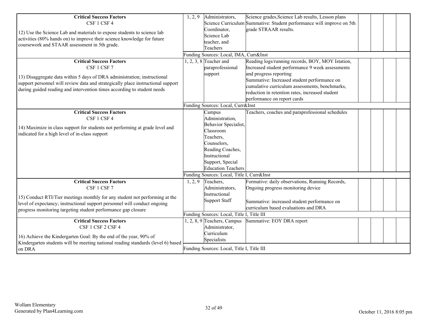| <b>Critical Success Factors</b><br>CSF 1 CSF 4<br>12) Use the Science Lab and materials to expose students to science lab<br>activities (80% hands on) to improve their science knowledge for future<br>coursework and STAAR assessment in 5th grade.                                     | 1, 2, 9 | Administrators,<br>Coordinator,<br>Science Lab<br>teacher, and<br>Teachers<br>Funding Sources: Local, IMA, Curr&Inst                                                                                                           | Science grades, Science Lab results, Lesson plans<br>Science Curriculum Summative: Student performance will improve on 5th<br>grade STRAAR results.                                                                                                                                                               |  |  |
|-------------------------------------------------------------------------------------------------------------------------------------------------------------------------------------------------------------------------------------------------------------------------------------------|---------|--------------------------------------------------------------------------------------------------------------------------------------------------------------------------------------------------------------------------------|-------------------------------------------------------------------------------------------------------------------------------------------------------------------------------------------------------------------------------------------------------------------------------------------------------------------|--|--|
| <b>Critical Success Factors</b><br>CSF 1 CSF 7<br>13) Disaggregate data within 5 days of DRA administration; instructional<br>support personnel will review data and strategically place instructional support<br>during guided reading and intervention times according to student needs |         | 1, 2, 3, 8 Teacher and<br>paraprofessional<br>support<br>Funding Sources: Local, Curr&Inst                                                                                                                                     | Reading logs/running records, BOY, MOY Istation,<br>Increased student performance 9 week assessments<br>and progress reporting<br>Summative: Increased student performance on<br>cumulative curriculum assessments, benchmarks,<br>reduction in retention rates, increased student<br>performance on report cards |  |  |
| <b>Critical Success Factors</b><br>CSF 1 CSF 4<br>14) Maximize in class support for students not performing at grade level and<br>indicated for a high level of in-class support                                                                                                          |         | Campus<br>Administration,<br>Behavior Specialist,<br>Classroom<br>Teachers,<br>Counselors,<br>Reading Coaches,<br>Instructional<br>Support, Special<br><b>Education Teachers</b><br>Funding Sources: Local, Title I, Curr&Inst | Teachers, coaches and paraprofessional schedules                                                                                                                                                                                                                                                                  |  |  |
| <b>Critical Success Factors</b><br>CSF 1 CSF 7<br>15) Conduct RTI/Tier meetings monthly for any student not performing at the<br>level of expectancy; instructional support personnel will conduct ongoing<br>progress monitoring targeting student performance gap closure               | 1, 2, 9 | Teachers,<br>Administrators,<br>Instructional<br>Support Staff<br>Funding Sources: Local, Title I, Title III                                                                                                                   | Formative: daily observations, Running Records,<br>Ongoing progress monitoring device<br>Summative: increased student performance on<br>curriculum based evaluations and DRA                                                                                                                                      |  |  |
| <b>Critical Success Factors</b><br>CSF 1 CSF 2 CSF 4<br>16) Achieve the Kindergarten Goal: By the end of the year, 90% of<br>Kindergarten students will be meeting national reading standards (level 6) based<br>on DRA                                                                   |         | $1, 2, 8, 9$ Teachers, Campus<br>Administrator,<br>Curriculum<br>Specialists<br>Funding Sources: Local, Title I, Title III                                                                                                     | Summative: EOY DRA report                                                                                                                                                                                                                                                                                         |  |  |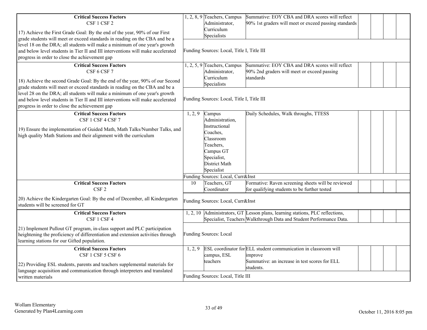| <b>Critical Success Factors</b><br>CSF 1 CSF 2<br>17) Achieve the First Grade Goal: By the end of the year, 90% of our First<br>grade students will meet or exceed standards in reading on the CBA and be a<br>level 18 on the DRA; all students will make a minimum of one year's growth<br>and below level students in Tier II and III interventions will make accelerated<br>progress in order to close the achievement gap   | Summative: EOY CBA and DRA scores will reflect<br>$1, 2, 8, 9$ Teachers, Campus<br>Administrator,<br>90% 1st graders will meet or exceed passing standards<br>Curriculum<br>Specialists<br>Funding Sources: Local, Title I, Title III    |
|----------------------------------------------------------------------------------------------------------------------------------------------------------------------------------------------------------------------------------------------------------------------------------------------------------------------------------------------------------------------------------------------------------------------------------|------------------------------------------------------------------------------------------------------------------------------------------------------------------------------------------------------------------------------------------|
| <b>Critical Success Factors</b><br>CSF 6 CSF 7<br>18) Achieve the second Grade Goal: By the end of the year, 90% of our Second<br>grade students will meet or exceed standards in reading on the CBA and be a<br>level 28 on the DRA; all students will make a minimum of one year's growth<br>and below level students in Tier II and III interventions will make accelerated<br>progress in order to close the achievement gap | $1, 2, 5, 9$ Teachers, Campus<br>Summative: EOY CBA and DRA scores will reflect<br>Administrator,<br>90% 2nd graders will meet or exceed passing<br>Curriculum<br>standards<br>Specialists<br>Funding Sources: Local, Title I, Title III |
| <b>Critical Success Factors</b><br>CSF 1 CSF 4 CSF 7<br>19) Ensure the implementation of Guided Math, Math Talks/Number Talks, and<br>high quality Math Stations and their alignment with the curriculum                                                                                                                                                                                                                         | Daily Schedules, Walk throughs, TTESS<br>1, 2, 9<br>Campus<br>Administration,<br>Instructional<br>Coaches,<br>Classroom<br>Teachers,<br>Campus GT<br>Specialist,<br>District Math<br>Specialist<br>Funding Sources: Local, Curr&Inst     |
| <b>Critical Success Factors</b><br>CSF <sub>2</sub>                                                                                                                                                                                                                                                                                                                                                                              | Teachers, GT<br>Formative: Raven screening sheets will be reviewed<br>10<br>Coordinator<br>for qualifying students to be further tested                                                                                                  |
| 20) Achieve the Kindergarten Goal: By the end of December, all Kindergarten<br>students will be screened for GT                                                                                                                                                                                                                                                                                                                  | Funding Sources: Local, Curr&Inst                                                                                                                                                                                                        |
| <b>Critical Success Factors</b><br>CSF 1 CSF 4                                                                                                                                                                                                                                                                                                                                                                                   | 1, 2, 10 Administrators, GT Lesson plans, learning stations, PLC reflections,<br>Specialist, Teachers Walkthrough Data and Student Performance Data.                                                                                     |
| 21) Implement Pullout GT program, in-class support and PLC participation<br>heightening the proficiency of differentiation and extension activities through<br>learning stations for our Gifted population.                                                                                                                                                                                                                      | <b>Funding Sources: Local</b>                                                                                                                                                                                                            |
| <b>Critical Success Factors</b><br>CSF 1 CSF 5 CSF 6<br>22) Providing ESL students, parents and teachers supplemental materials for<br>language acquisition and communication through interpreters and translated<br>written materials                                                                                                                                                                                           | ESL coordinator for ELL student communication in classroom will<br>1, 2, 9<br>campus, ESL<br>improve<br>teachers<br>Summative: an increase in test scores for ELL<br>students.<br>Funding Sources: Local, Title III                      |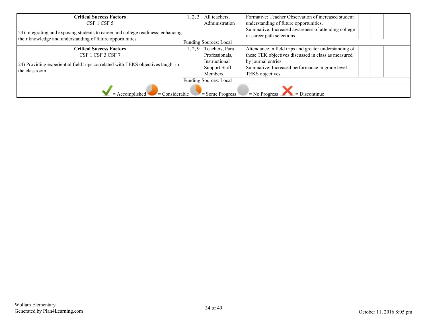| <b>Critical Success Factors</b>                                                                                                                |      | All teachers,          | Formative: Teacher Observation of increased student                               |  |  |  |
|------------------------------------------------------------------------------------------------------------------------------------------------|------|------------------------|-----------------------------------------------------------------------------------|--|--|--|
| CSF 1 CSF 5                                                                                                                                    |      | Administration         | understanding of future opportunities.                                            |  |  |  |
| 23) Integrating and exposing students to career and college readiness; enhancing<br>their knowledge and understanding of future opportunities. |      |                        | Summative: Increased awareness of attending college<br>or career path selections. |  |  |  |
|                                                                                                                                                |      | Funding Sources: Local |                                                                                   |  |  |  |
| <b>Critical Success Factors</b>                                                                                                                | 2, 9 | Teachers, Para         | Attendance in field trips and greater understanding of                            |  |  |  |
| CSF 1 CSF 3 CSF 7                                                                                                                              |      | Professionals,         | these TEK objectives discussed in class as measured                               |  |  |  |
|                                                                                                                                                |      | <i>Instructional</i>   | by journal entries.                                                               |  |  |  |
| 24) Providing experiential field trips correlated with TEKS objectives taught in<br>the classroom.                                             |      | Support Staff          | Summative: Increased performance in grade level                                   |  |  |  |
|                                                                                                                                                |      | <b>Members</b>         | TEKS objectives.                                                                  |  |  |  |
| Funding Sources: Local                                                                                                                         |      |                        |                                                                                   |  |  |  |
| $\blacksquare$ Considerable<br>$=$ Accomplished<br>$=$ Some Progress<br>$=$ No Progress<br>$=$ Discontinue                                     |      |                        |                                                                                   |  |  |  |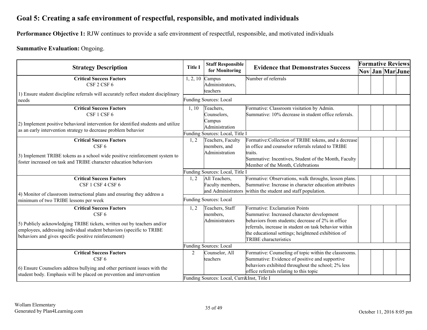## <span id="page-34-0"></span>**Goal 5: Creating a safe environment of respectful, responsible, and motivated individuals**

**Performance Objective 1:** RJW continues to provide a safe environment of respectful, responsible, and motivated individuals

#### **Summative Evaluation:** Ongoing.

| <b>Strategy Description</b>                                                                                                                                                                                                                                     |                | <b>Staff Responsible</b>                                                 | <b>Evidence that Demonstrates Success</b>                                                                                                                                                                                                                                        |  | <b>Formative Reviews</b> |  |                  |
|-----------------------------------------------------------------------------------------------------------------------------------------------------------------------------------------------------------------------------------------------------------------|----------------|--------------------------------------------------------------------------|----------------------------------------------------------------------------------------------------------------------------------------------------------------------------------------------------------------------------------------------------------------------------------|--|--------------------------|--|------------------|
|                                                                                                                                                                                                                                                                 | <b>Title I</b> | for Monitoring                                                           |                                                                                                                                                                                                                                                                                  |  |                          |  | Nov Jan Mar June |
| <b>Critical Success Factors</b><br>CSF 2 CSF 6                                                                                                                                                                                                                  | 1, 2, 10       | Campus<br>Administrators,<br>teachers                                    | Number of referrals                                                                                                                                                                                                                                                              |  |                          |  |                  |
| 1) Ensure student discipline referrals will accurately reflect student disciplinary<br>needs                                                                                                                                                                    |                | Funding Sources: Local                                                   |                                                                                                                                                                                                                                                                                  |  |                          |  |                  |
| <b>Critical Success Factors</b><br>CSF 1 CSF 6<br>2) Implement positive behavioral intervention for identified students and utilize<br>as an early intervention strategy to decrease problem behavior                                                           | 1, 10          | Teachers,<br>Counselors,<br>Campus<br>Administration                     | Formative: Classroom visitation by Admin.<br>Summative: 10% decrease in student office referrals.                                                                                                                                                                                |  |                          |  |                  |
|                                                                                                                                                                                                                                                                 |                | Funding Sources: Local, Title I                                          |                                                                                                                                                                                                                                                                                  |  |                          |  |                  |
| <b>Critical Success Factors</b><br>CSF <sub>6</sub><br>3) Implement TRIBE tokens as a school wide positive reinforcement system to<br>foster increased on task and TRIBE character education behaviors                                                          | 1, 2           | Teachers, Faculty<br>members, and<br>Administration                      | Formative: Collection of TRIBE tokens, and a decrease<br>in office and counselor referrals related to TRIBE<br>ltraits.<br>Summative: Incentives, Student of the Month, Faculty<br>Member of the Month, Celebrations                                                             |  |                          |  |                  |
|                                                                                                                                                                                                                                                                 |                | Funding Sources: Local, Title I                                          |                                                                                                                                                                                                                                                                                  |  |                          |  |                  |
| <b>Critical Success Factors</b><br>CSF 1 CSF 4 CSF 6<br>4) Monitor of classroom instructional plans and ensuring they address a                                                                                                                                 | 1, 2           | All Teachers,<br>Faculty members,                                        | Formative: Observations, walk throughs, lesson plans.<br>Summative: Increase in character education attributes<br>and Administrators within the student and staff population.                                                                                                    |  |                          |  |                  |
| minimum of two TRIBE lessons per week                                                                                                                                                                                                                           |                | <b>Funding Sources: Local</b>                                            |                                                                                                                                                                                                                                                                                  |  |                          |  |                  |
| <b>Critical Success Factors</b><br>CSF <sub>6</sub><br>5) Publicly acknowledging TRIBE tickets, written out by teachers and/or<br>employees, addressing individual student behaviors (specific to TRIBE<br>behaviors and gives specific positive reinforcement) | 1, 2           | Teachers, Staff<br>members,<br>Administrators                            | Formative: Exclamation Points<br>Summative: Increased character development<br>behaviors from students; decrease of 2% in office<br>referrals, increase in student on task behavior within<br>the educational settings; heightened exhibition of<br><b>TRIBE</b> characteristics |  |                          |  |                  |
|                                                                                                                                                                                                                                                                 |                | <b>Funding Sources: Local</b>                                            |                                                                                                                                                                                                                                                                                  |  |                          |  |                  |
| <b>Critical Success Factors</b><br>CSF <sub>6</sub><br>6) Ensure Counselors address bullying and other pertinent issues with the<br>student body. Emphasis will be placed on prevention and intervention                                                        | 2              | Counselor, All<br>teachers<br>Funding Sources: Local, Curr&Inst, Title I | Formative: Counseling of topic within the classrooms.<br>Summative: Evidence of positive and supportive<br>behaviors exhibited throughout the school; 2% less<br>office referrals relating to this topic                                                                         |  |                          |  |                  |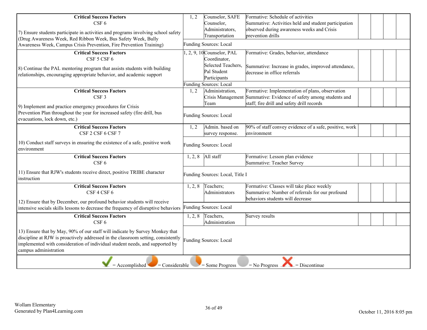| <b>Critical Success Factors</b><br>CSF <sub>6</sub>                                                                                                                                                                                                                        | 1, 2    | Counselor, SAFE<br>Counselor,                                                                     | Formative: Schedule of activities<br>Summative: Activities held and student participation                                                                           |  |  |
|----------------------------------------------------------------------------------------------------------------------------------------------------------------------------------------------------------------------------------------------------------------------------|---------|---------------------------------------------------------------------------------------------------|---------------------------------------------------------------------------------------------------------------------------------------------------------------------|--|--|
| 7) Ensure students participate in activities and programs involving school safety<br>(Drug Awareness Week, Red Ribbon Week, Bus Safety Week, Bully                                                                                                                         |         | Administrators,<br>Transportation                                                                 | observed during awareness weeks and Crisis<br>prevention drills                                                                                                     |  |  |
| Awareness Week, Campus Crisis Prevention, Fire Prevention Training)                                                                                                                                                                                                        |         | <b>Funding Sources: Local</b>                                                                     |                                                                                                                                                                     |  |  |
| <b>Critical Success Factors</b><br>CSF 5 CSF 6<br>8) Continue the PAL mentoring program that assists students with building<br>relationships, encouraging appropriate behavior, and academic support                                                                       |         | $1, 2, 9, 10$ Counselor, PAL<br>Coordinator,<br>Selected Teachers,<br>Pal Student<br>Participants | Formative: Grades, behavior, attendance<br>Summative: Increase in grades, improved attendance,<br>decrease in office referrals                                      |  |  |
|                                                                                                                                                                                                                                                                            |         | <b>Funding Sources: Local</b>                                                                     |                                                                                                                                                                     |  |  |
| <b>Critical Success Factors</b><br>CSF <sub>3</sub>                                                                                                                                                                                                                        | 1, 2    | Administration,<br>Team                                                                           | Formative: Implementation of plans, observation<br>Crisis Management Summative: Evidence of safety among students and<br>staff; fire drill and safety drill records |  |  |
| 9) Implement and practice emergency procedures for Crisis<br>Prevention Plan throughout the year for increased safety (fire drill, bus<br>evacuations, lock down, etc.)                                                                                                    |         | <b>Funding Sources: Local</b>                                                                     |                                                                                                                                                                     |  |  |
| <b>Critical Success Factors</b><br>CSF 2 CSF 6 CSF 7                                                                                                                                                                                                                       | 1, 2    | Admin. based on<br>survey response.                                                               | 90% of staff convey evidence of a safe, positive, work<br>environment                                                                                               |  |  |
| 10) Conduct staff surveys in ensuring the existence of a safe, positive work<br>environment                                                                                                                                                                                |         | <b>Funding Sources: Local</b>                                                                     |                                                                                                                                                                     |  |  |
| <b>Critical Success Factors</b><br>CSF <sub>6</sub>                                                                                                                                                                                                                        | 1, 2, 8 | All staff                                                                                         | Formative: Lesson plan evidence<br><b>Summative: Teacher Survey</b>                                                                                                 |  |  |
| 11) Ensure that RJW's students receive direct, positive TRIBE character<br>instruction                                                                                                                                                                                     |         | Funding Sources: Local, Title I                                                                   |                                                                                                                                                                     |  |  |
| <b>Critical Success Factors</b><br>CSF 4 CSF 6                                                                                                                                                                                                                             | 1, 2, 8 | Teachers;<br>Administrators                                                                       | Formative: Classes will take place weekly<br>Summative: Number of referrals for our profound<br>behaviors students will decrease                                    |  |  |
| 12) Ensure that by December, our profound behavior students will receive<br>intensive socials skills lessons to decrease the frequency of disruptive behaviors                                                                                                             |         | <b>Funding Sources: Local</b>                                                                     |                                                                                                                                                                     |  |  |
| <b>Critical Success Factors</b><br>CSF 6                                                                                                                                                                                                                                   | 1, 2, 8 | Teachers,<br>Administration                                                                       | Survey results                                                                                                                                                      |  |  |
| 13) Ensure that by May, 90% of our staff will indicate by Survey Monkey that<br>discipline at RJW is proactively addressed in the classroom setting, consistently<br>implemented with consideration of individual student needs, and supported by<br>campus administration |         | <b>Funding Sources: Local</b>                                                                     |                                                                                                                                                                     |  |  |
| $=$ Accomplished<br>$=$ Considerable                                                                                                                                                                                                                                       |         | $=$ Some Progress                                                                                 | $N0$ Progress<br>$=$ Discontinue                                                                                                                                    |  |  |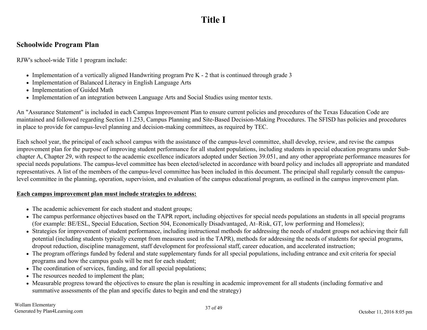## **Title I**

#### <span id="page-36-0"></span>**Schoolwide Program Plan**

RJW's school-wide Title 1 program include:

- Implementation of a vertically aligned Handwriting program Pre K 2 that is continued through grade 3
- Implementation of Balanced Literacy in English Language Arts
- Implementation of Guided Math
- Implementation of an integration between Language Arts and Social Studies using mentor texts.

An "Assurance Statement" is included in each Campus Improvement Plan to ensure current policies and procedures of the Texas Education Code are maintained and followed regarding Section 11.253, Campus Planning and Site-Based Decision-Making Procedures. The SFISD has policies and procedures in place to provide for campus-level planning and decision-making committees, as required by TEC.

Each school year, the principal of each school campus with the assistance of the campus-level committee, shall develop, review, and revise the campus improvement plan for the purpose of improving student performance for all student populations, including students in special education programs under Subchapter A, Chapter 29, with respect to the academic excellence indicators adopted under Section 39.051, and any other appropriate performance measures for special needs populations. The campus-level committee has been elected/selected in accordance with board policy and includes all appropriate and mandated representatives. A list of the members of the campus-level committee has been included in this document. The principal shall regularly consult the campuslevel committee in the planning, operation, supervision, and evaluation of the campus educational program, as outlined in the campus improvement plan.

#### **Each campus improvement plan must include strategies to address:**

- The academic achievement for each student and student groups;
- The campus performance objectives based on the TAPR report, including objectives for special needs populations an students in all special programs (for example: BE/ESL, Special Education, Section 504, Economically Disadvantaged, At–Risk, GT, low performing and Homeless);
- Strategies for improvement of student performance, including instructional methods for addressing the needs of student groups not achieving their full potential (including students typically exempt from measures used in the TAPR), methods for addressing the needs of students for special programs, dropout reduction, discipline management, staff development for professional staff, career education, and accelerated instruction;
- The program offerings funded by federal and state supplementary funds for all special populations, including entrance and exit criteria for special programs and how the campus goals will be met for each student;
- The coordination of services, funding, and for all special populations;
- The resources needed to implement the plan;
- Measurable progress toward the objectives to ensure the plan is resulting in academic improvement for all students (including formative and summative assessments of the plan and specific dates to begin and end the strategy)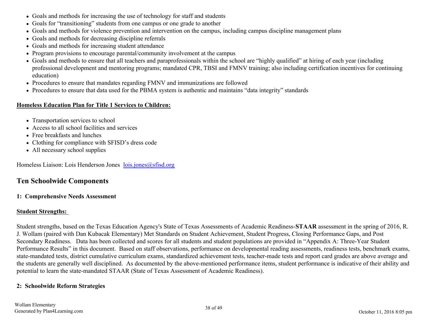- <span id="page-37-0"></span>Goals and methods for increasing the use of technology for staff and students
- Goals for "transitioning" students from one campus or one grade to another
- Goals and methods for violence prevention and intervention on the campus, including campus discipline management plans
- Goals and methods for decreasing discipline referrals
- Goals and methods for increasing student attendance
- Program provisions to encourage parental/community involvement at the campus
- Goals and methods to ensure that all teachers and paraprofessionals within the school are "highly qualified" at hiring of each year (including professional development and mentoring programs; mandated CPR, TBSI and FMNV training; also including certification incentives for continuing education)
- Procedures to ensure that mandates regarding FMNV and immunizations are followed
- Procedures to ensure that data used for the PBMA system is authentic and maintains "data integrity" standards

#### **Homeless Education Plan for Title 1 Services to Children:**

- Transportation services to school
- Access to all school facilities and services
- Free breakfasts and lunches
- Clothing for compliance with SFISD's dress code
- All necessary school supplies

Homeless Liaison: Lois Henderson Jones [lois.jones@sfisd.org](mailto:lois.jones@sfisd.org)

#### **Ten Schoolwide Components**

#### **1: Comprehensive Needs Assessment**

#### **Student Strengths:**

Student strengths, based on the Texas Education Agency's State of Texas Assessments of Academic Readiness-**STAAR** assessment in the spring of 2016, R. J. Wollam (paired with Dan Kubacak Elementary) Met Standards on Student Achievement, Student Progress, Closing Performance Gaps, and Post Secondary Readiness. Data has been collected and scores for all students and student populations are provided in "Appendix A: Three-Year Student Performance Results" in this document. Based on staff observations, performance on developmental reading assessments, readiness tests, benchmark exams, state-mandated tests, district cumulative curriculum exams, standardized achievement tests, teacher-made tests and report card grades are above average and the students are generally well disciplined. As documented by the above-mentioned performance items, student performance is indicative of their ability and potential to learn the state-mandated STAAR (State of Texas Assessment of Academic Readiness).

#### **2: Schoolwide Reform Strategies**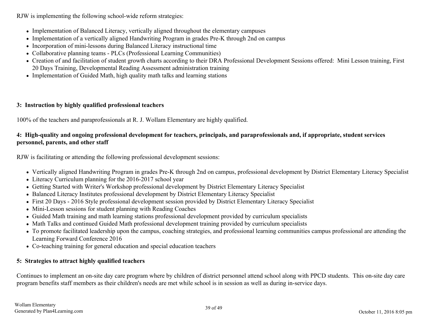RJW is implementing the following school-wide reform strategies:

- Implementation of Balanced Literacy, vertically aligned throughout the elementary campuses
- Implementation of a vertically aligned Handwriting Program in grades Pre-K through 2nd on campus
- Incorporation of mini-lessons during Balanced Literacy instructional time
- Collaborative planning teams PLCs (Professional Learning Communities)
- Creation of and facilitation of student growth charts according to their DRA Professional Development Sessions offered: Mini Lesson training, First 20 Days Training, Developmental Reading Assessment administration training
- Implementation of Guided Math, high quality math talks and learning stations

#### **3: Instruction by highly qualified professional teachers**

100% of the teachers and paraprofessionals at R. J. Wollam Elementary are highly qualified.

#### **4: High-quality and ongoing professional development for teachers, principals, and paraprofessionals and, if appropriate, student services personnel, parents, and other staff**

RJW is facilitating or attending the following professional development sessions:

- Vertically aligned Handwriting Program in grades Pre-K through 2nd on campus, professional development by District Elementary Literacy Specialist
- Literacy Curriculum planning for the 2016-2017 school year
- Getting Started with Writer's Workshop professional development by District Elementary Literacy Specialist
- Balanced Literacy Institutes professional development by District Elementary Literacy Specialist
- First 20 Days 2016 Style professional development session provided by District Elementary Literacy Specialist
- Mini-Lesson sessions for student planning with Reading Coaches
- Guided Math training and math learning stations professional development provided by curriculum specialists
- Math Talks and continued Guided Math professional development training provided by curriculum specialists
- To promote facilitated leadership upon the campus, coaching strategies, and professional learning communities campus professional are attending the Learning Forward Conference 2016
- Co-teaching training for general education and special education teachers

#### **5: Strategies to attract highly qualified teachers**

Continues to implement an on-site day care program where by children of district personnel attend school along with PPCD students. This on-site day care program benefits staff members as their children's needs are met while school is in session as well as during in-service days.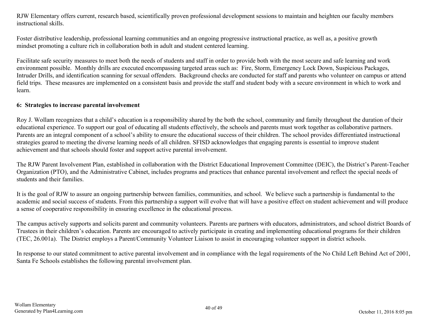RJW Elementary offers current, research based, scientifically proven professional development sessions to maintain and heighten our faculty members instructional skills.

Foster distributive leadership, professional learning communities and an ongoing progressive instructional practice, as well as, a positive growth mindset promoting a culture rich in collaboration both in adult and student centered learning.

Facilitate safe security measures to meet both the needs of students and staff in order to provide both with the most secure and safe learning and work environment possible. Monthly drills are executed encompassing targeted areas such as: Fire, Storm, Emergency Lock Down, Suspicious Packages, Intruder Drills, and identification scanning for sexual offenders. Background checks are conducted for staff and parents who volunteer on campus or attend field trips. These measures are implemented on a consistent basis and provide the staff and student body with a secure environment in which to work and learn.

#### **6: Strategies to increase parental involvement**

Roy J. Wollam recognizes that a child's education is a responsibility shared by the both the school, community and family throughout the duration of their educational experience. To support our goal of educating all students effectively, the schools and parents must work together as collaborative partners. Parents are an integral component of a school's ability to ensure the educational success of their children. The school provides differentiated instructional strategies geared to meeting the diverse learning needs of all children. SFISD acknowledges that engaging parents is essential to improve student achievement and that schools should foster and support active parental involvement.

The RJW Parent Involvement Plan, established in collaboration with the District Educational Improvement Committee (DEIC), the District's Parent-Teacher Organization (PTO), and the Administrative Cabinet, includes programs and practices that enhance parental involvement and reflect the special needs of students and their families.

It is the goal of RJW to assure an ongoing partnership between families, communities, and school. We believe such a partnership is fundamental to the academic and social success of students. From this partnership a support will evolve that will have a positive effect on student achievement and will produce a sense of cooperative responsibility in ensuring excellence in the educational process.

The campus actively supports and solicits parent and community volunteers. Parents are partners with educators, administrators, and school district Boards of Trustees in their children's education. Parents are encouraged to actively participate in creating and implementing educational programs for their children (TEC, 26.001a). The District employs a Parent/Community Volunteer Liaison to assist in encouraging volunteer support in district schools.

In response to our stated commitment to active parental involvement and in compliance with the legal requirements of the No Child Left Behind Act of 2001, Santa Fe Schools establishes the following parental involvement plan.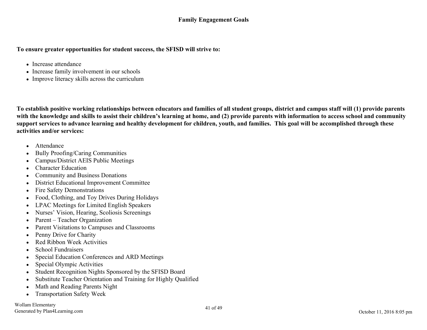#### **To ensure greater opportunities for student success, the SFISD will strive to:**

- Increase attendance
- Increase family involvement in our schools
- Improve literacy skills across the curriculum

**To establish positive working relationships between educators and families of all student groups, district and campus staff will (1) provide parents with the knowledge and skills to assist their children's learning at home, and (2) provide parents with information to access school and community support services to advance learning and healthy development for children, youth, and families. This goal will be accomplished through these activities and/or services:**

- Attendance
- Bully Proofing/Caring Communities
- Campus/District AEIS Public Meetings  $\bullet$
- Character Education
- Community and Business Donations
- District Educational Improvement Committee  $\bullet$
- Fire Safety Demonstrations  $\bullet$
- Food, Clothing, and Toy Drives During Holidays
- LPAC Meetings for Limited English Speakers
- Nurses' Vision, Hearing, Scoliosis Screenings  $\bullet$
- Parent Teacher Organization
- Parent Visitations to Campuses and Classrooms  $\bullet$
- Penny Drive for Charity  $\bullet$
- Red Ribbon Week Activities
- School Fundraisers  $\bullet$
- Special Education Conferences and ARD Meetings
- Special Olympic Activities
- Student Recognition Nights Sponsored by the SFISD Board  $\bullet$
- Substitute Teacher Orientation and Training for Highly Qualified  $\bullet$
- Math and Reading Parents Night
- Transportation Safety Week  $\bullet$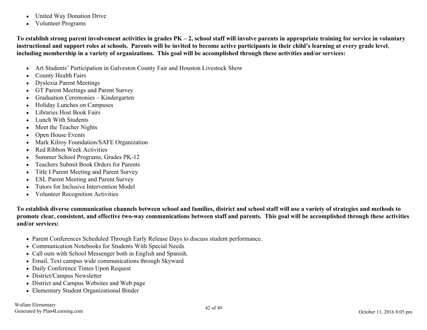- United Way Donation Drive  $\bullet$
- Volunteer Programs  $\bullet$

**To establish strong parent involvement activities in grades PK – 2, school staff will involve parents in appropriate training for service in voluntary instructional and support roles at schools. Parents will be invited to become active participants in their child's learning at every grade level**, **including membership in a variety of organizations. This goal will be accomplished through these activities and/or services:**

- Art Students' Participation in Galveston County Fair and Houston Livestock Show  $\bullet$
- County Health Fairs
- Dyslexia Parent Meetings
- GT Parent Meetings and Parent Survey  $\bullet$
- Graduation Ceremonies Kindergarten
- Holiday Lunches on Campuses  $\bullet$
- Libraries Host Book Fairs  $\bullet$
- Lunch With Students  $\bullet$
- Meet the Teacher Nights
- Open House Events
- Mark Kilroy Foundation/SAFE Organization  $\bullet$
- Red Ribbon Week Activities
- Summer School Programs, Grades PK-12  $\bullet$
- Teachers Submit Book Orders for Parents  $\bullet$
- Title I Parent Meeting and Parent Survey
- ESL Parent Meeting and Parent Survey  $\bullet$
- Tutors for Inclusive Intervention Model
- Volunteer Recognition Activities

**To establish diverse communication channels between school and families, district and school staff will use a variety of strategies and methods to promote clear, consistent, and effective two-way communications between staff and parents. This goal will be accomplished through these activities and/or services:**

- Parent Conferences Scheduled Through Early Release Days to discuss student performance.
- Communication Notebooks for Students With Special Needs
- Call outs with School Messenger both in English and Spanish.
- Email, Text campus wide communications through Skyward
- Daily Conference Times Upon Request
- District/Campus Newsletter
- District and Campus Websites and Web page
- Elementary Student Organizational Binder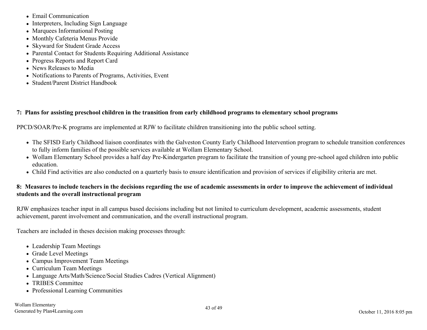- Email Communication
- Interpreters, Including Sign Language
- Marquees Informational Posting
- Monthly Cafeteria Menus Provide
- Skyward for Student Grade Access
- Parental Contact for Students Requiring Additional Assistance
- Progress Reports and Report Card
- News Releases to Media
- Notifications to Parents of Programs, Activities, Event
- Student/Parent District Handbook

#### **7: Plans for assisting preschool children in the transition from early childhood programs to elementary school programs**

PPCD/SOAR/Pre-K programs are implemented at RJW to facilitate children transitioning into the public school setting.

- The SFISD Early Childhood liaison coordinates with the Galveston County Early Childhood Intervention program to schedule transition conferences to fully inform families of the possible services available at Wollam Elementary School.
- Wollam Elementary School provides a half day Pre-Kindergarten program to facilitate the transition of young pre-school aged children into public education.
- Child Find activities are also conducted on a quarterly basis to ensure identification and provision of services if eligibility criteria are met.

#### **8: Measures to include teachers in the decisions regarding the use of academic assessments in order to improve the achievement of individual students and the overall instructional program**

RJW emphasizes teacher input in all campus based decisions including but not limited to curriculum development, academic assessments, student achievement, parent involvement and communication, and the overall instructional program.

Teachers are included in theses decision making processes through:

- Leadership Team Meetings
- Grade Level Meetings
- Campus Improvement Team Meetings
- Curriculum Team Meetings
- Language Arts/Math/Science/Social Studies Cadres (Vertical Alignment)
- TRIBES Committee
- Professional Learning Communities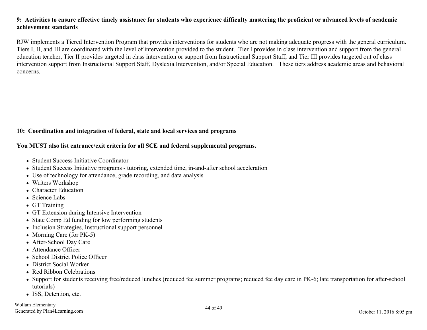#### **9: Activities to ensure effective timely assistance for students who experience difficulty mastering the proficient or advanced levels of academic achievement standards**

RJW implements a Tiered Intervention Program that provides interventions for students who are not making adequate progress with the general curriculum. Tiers I, II, and III are coordinated with the level of intervention provided to the student. Tier I provides in class intervention and support from the general education teacher, Tier II provides targeted in class intervention or support from Instructional Support Staff, and Tier III provides targeted out of class intervention support from Instructional Support Staff, Dyslexia Intervention, and/or Special Education. These tiers address academic areas and behavioral concerns.

#### **10: Coordination and integration of federal, state and local services and programs**

#### **You MUST also list entrance/exit criteria for all SCE and federal supplemental programs.**

- Student Success Initiative Coordinator
- Student Success Initiative programs tutoring, extended time, in-and-after school acceleration
- Use of technology for attendance, grade recording, and data analysis
- Writers Workshop
- Character Education
- Science Labs
- GT Training
- GT Extension during Intensive Intervention
- State Comp Ed funding for low performing students
- Inclusion Strategies, Instructional support personnel
- Morning Care (for  $PK-5$ )
- After-School Day Care
- Attendance Officer
- School District Police Officer
- District Social Worker
- Red Ribbon Celebrations
- Support for students receiving free/reduced lunches (reduced fee summer programs; reduced fee day care in PK-6; late transportation for after-school tutorials)
- ISS, Detention, etc.

Wollam Elementary Generated by Plan4Learning.com 44 of 49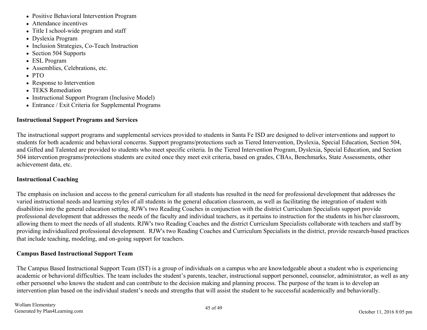- Positive Behavioral Intervention Program
- Attendance incentives
- Title I school-wide program and staff
- Dyslexia Program
- Inclusion Strategies, Co-Teach Instruction
- Section 504 Supports
- ESL Program
- Assemblies, Celebrations, etc.
- PTO
- Response to Intervention
- TEKS Remediation
- Instructional Support Program (Inclusive Model)
- Entrance / Exit Criteria for Supplemental Programs

#### **Instructional Support Programs and Services**

The instructional support programs and supplemental services provided to students in Santa Fe ISD are designed to deliver interventions and support to students for both academic and behavioral concerns. Support programs/protections such as Tiered Intervention, Dyslexia, Special Education, Section 504, and Gifted and Talented are provided to students who meet specific criteria. In the Tiered Intervention Program, Dyslexia, Special Education, and Section 504 intervention programs/protections students are exited once they meet exit criteria, based on grades, CBAs, Benchmarks, State Assessments, other achievement data, etc.

#### **Instructional Coaching**

The emphasis on inclusion and access to the general curriculum for all students has resulted in the need for professional development that addresses the varied instructional needs and learning styles of all students in the general education classroom, as well as facilitating the integration of student with disabilities into the general education setting. RJW's two Reading Coaches in conjunction with the district Curriculum Specialists support provide professional development that addresses the needs of the faculty and individual teachers, as it pertains to instruction for the students in his/her classroom, allowing them to meet the needs of all students. RJW's two Reading Coaches and the district Curriculum Specialists collaborate with teachers and staff by providing individualized professional development. RJW's two Reading Coaches and Curriculum Specialists in the district, provide research-based practices that include teaching, modeling, and on-going support for teachers.

#### **Campus Based Instructional Support Team**

The Campus Based Instructional Support Team (IST) is a group of individuals on a campus who are knowledgeable about a student who is experiencing academic or behavioral difficulties. The team includes the student's parents, teacher, instructional support personnel, counselor, administrator, as well as any other personnel who knows the student and can contribute to the decision making and planning process. The purpose of the team is to develop an intervention plan based on the individual student's needs and strengths that will assist the student to be successful academically and behaviorally.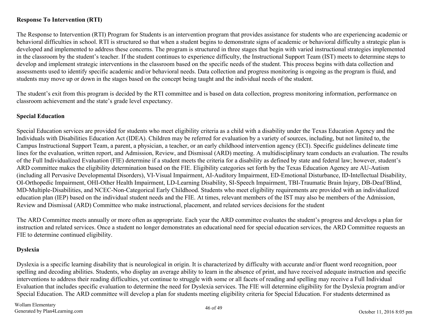#### **Response To Intervention (RTI)**

The Response to Intervention (RTI) Program for Students is an intervention program that provides assistance for students who are experiencing academic or behavioral difficulties in school. RTI is structured so that when a student begins to demonstrate signs of academic or behavioral difficulty a strategic plan is developed and implemented to address these concerns. The program is structured in three stages that begin with varied instructional strategies implemented in the classroom by the student's teacher. If the student continues to experience difficulty, the Instructional Support Team (IST) meets to determine steps to develop and implement strategic interventions in the classroom based on the specific needs of the student. This process begins with data collection and assessments used to identify specific academic and/or behavioral needs. Data collection and progress monitoring is ongoing as the program is fluid, and students may move up or down in the stages based on the concept being taught and the individual needs of the student.

The student's exit from this program is decided by the RTI committee and is based on data collection, progress monitoring information, performance on classroom achievement and the state's grade level expectancy.

#### **Special Education**

Special Education services are provided for students who meet eligibility criteria as a child with a disability under the Texas Education Agency and the Individuals with Disabilities Education Act (IDEA). Children may be referred for evaluation by a variety of sources, including, but not limited to, the Campus Instructional Support Team, a parent, a physician, a teacher, or an early childhood intervention agency (ECI). Specific guidelines delineate time lines for the evaluation, written report, and Admission, Review, and Dismissal (ARD) meeting. A multidisciplinary team conducts an evaluation. The results of the Full Individualized Evaluation (FIE) determine if a student meets the criteria for a disability as defined by state and federal law; however, student's ARD committee makes the eligibility determination based on the FIE. Eligibility categories set forth by the Texas Education Agency are AU-Autism (including all Pervasive Developmental Disorders), VI-Visual Impairment, AI-Auditory Impairment, ED-Emotional Disturbance, ID-Intellectual Disability, OI-Orthopedic Impairment, OHI-Other Health Impairment, LD-Learning Disability, SI-Speech Impairment, TBI-Traumatic Brain Injury, DB-Deaf/Blind, MD-Multiple-Disabilities, and NCEC-Non-Categorical Early Childhood. Students who meet eligibility requirements are provided with an individualized education plan (IEP) based on the individual student needs and the FIE. At times, relevant members of the IST may also be members of the Admission, Review and Dismissal (ARD) Committee who make instructional, placement, and related services decisions for the student

The ARD Committee meets annually or more often as appropriate. Each year the ARD committee evaluates the student's progress and develops a plan for instruction and related services. Once a student no longer demonstrates an educational need for special education services, the ARD Committee requests an FIE to determine continued eligibility.

#### **Dyslexia**

Dyslexia is a specific learning disability that is neurological in origin. It is characterized by difficulty with accurate and/or fluent word recognition, poor spelling and decoding abilities. Students, who display an average ability to learn in the absence of print, and have received adequate instruction and specific interventions to address their reading difficulties, yet continue to struggle with some or all facets of reading and spelling may receive a Full Individual Evaluation that includes specific evaluation to determine the need for Dyslexia services. The FIE will determine eligibility for the Dyslexia program and/or Special Education. The ARD committee will develop a plan for students meeting eligibility criteria for Special Education. For students determined as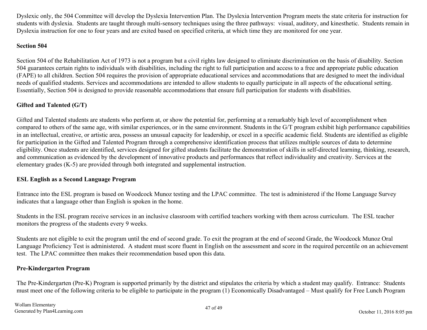Dyslexic only, the 504 Committee will develop the Dyslexia Intervention Plan. The Dyslexia Intervention Program meets the state criteria for instruction for students with dyslexia. Students are taught through multi-sensory techniques using the three pathways: visual, auditory, and kinesthetic. Students remain in Dyslexia instruction for one to four years and are exited based on specified criteria, at which time they are monitored for one year.

#### **Section 504**

Section 504 of the Rehabilitation Act of 1973 is not a program but a civil rights law designed to eliminate discrimination on the basis of disability. Section 504 guarantees certain rights to individuals with disabilities, including the right to full participation and access to a free and appropriate public education (FAPE) to all children. Section 504 requires the provision of appropriate educational services and accommodations that are designed to meet the individual needs of qualified students. Services and accommodations are intended to allow students to equally participate in all aspects of the educational setting. Essentially, Section 504 is designed to provide reasonable accommodations that ensure full participation for students with disabilities.

#### **Gifted and Talented (G/T)**

Gifted and Talented students are students who perform at, or show the potential for, performing at a remarkably high level of accomplishment when compared to others of the same age, with similar experiences, or in the same environment. Students in the G/T program exhibit high performance capabilities in an intellectual, creative, or artistic area, possess an unusual capacity for leadership, or excel in a specific academic field. Students are identified as eligible for participation in the Gifted and Talented Program through a comprehensive identification process that utilizes multiple sources of data to determine eligibility. Once students are identified, services designed for gifted students facilitate the demonstration of skills in self-directed learning, thinking, research, and communication as evidenced by the development of innovative products and performances that reflect individuality and creativity. Services at the elementary grades (K-5) are provided through both integrated and supplemental instruction.

#### **ESL English as a Second Language Program**

Entrance into the ESL program is based on Woodcock Munoz testing and the LPAC committee. The test is administered if the Home Language Survey indicates that a language other than English is spoken in the home.

Students in the ESL program receive services in an inclusive classroom with certified teachers working with them across curriculum. The ESL teacher monitors the progress of the students every 9 weeks.

Students are not eligible to exit the program until the end of second grade. To exit the program at the end of second Grade, the Woodcock Munoz Oral Language Proficiency Test is administered. A student must score fluent in English on the assessment and score in the required percentile on an achievement test. The LPAC committee then makes their recommendation based upon this data.

#### **Pre-Kindergarten Program**

The Pre-Kindergarten (Pre-K) Program is supported primarily by the district and stipulates the criteria by which a student may qualify. Entrance: Students must meet one of the following criteria to be eligible to participate in the program (1) Economically Disadvantaged – Must qualify for Free Lunch Program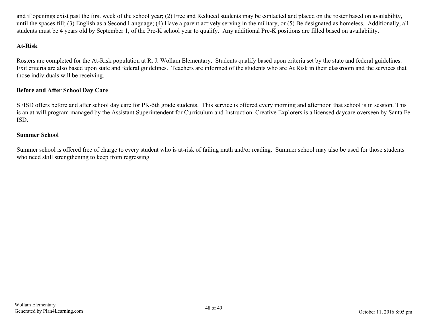and if openings exist past the first week of the school year; (2) Free and Reduced students may be contacted and placed on the roster based on availability, until the spaces fill; (3) English as a Second Language; (4) Have a parent actively serving in the military, or (5) Be designated as homeless. Additionally, all students must be 4 years old by September 1, of the Pre-K school year to qualify. Any additional Pre-K positions are filled based on availability.

#### **At-Risk**

Rosters are completed for the At-Risk population at R. J. Wollam Elementary. Students qualify based upon criteria set by the state and federal guidelines. Exit criteria are also based upon state and federal guidelines. Teachers are informed of the students who are At Risk in their classroom and the services that those individuals will be receiving.

#### **Before and After School Day Care**

SFISD offers before and after school day care for PK-5th grade students. This service is offered every morning and afternoon that school is in session. This is an at-will program managed by the Assistant Superintendent for Curriculum and Instruction. Creative Explorers is a licensed daycare overseen by Santa Fe ISD.

#### **Summer School**

Summer school is offered free of charge to every student who is at-risk of failing math and/or reading. Summer school may also be used for those students who need skill strengthening to keep from regressing.